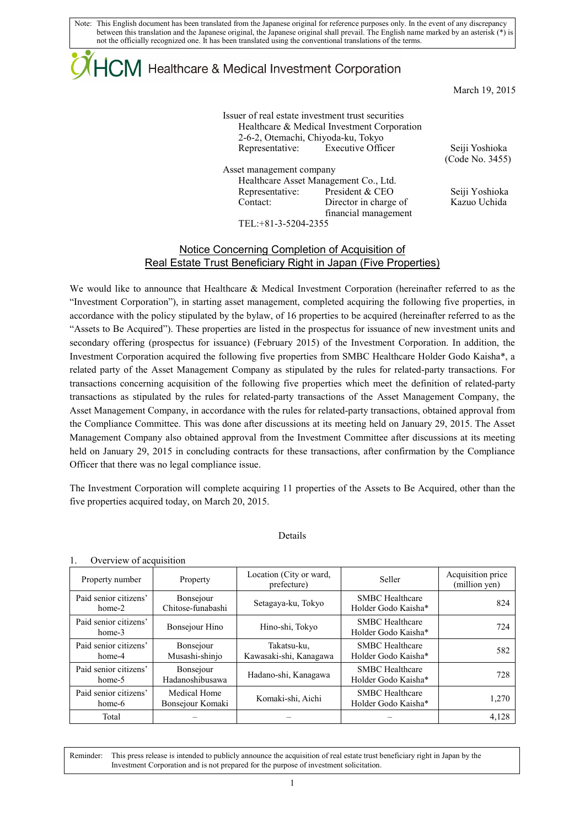# $+C\!M$  Healthcare & Medical Investment Corporation

March 19, 2015

Issuer of real estate investment trust securities Healthcare & Medical Investment Corporation 2-6-2, Otemachi, Chiyoda-ku, Tokyo Representative: Executive Officer Seiji Yoshioka

Asset management company Healthcare Asset Management Co., Ltd. Representative: President & CEO Seiji Yoshioka Contact: Director in charge of financial management

(Code No. 3455)

Kazuo Uchida

TEL:+81-3-5204-2355

### Notice Concerning Completion of Acquisition of Real Estate Trust Beneficiary Right in Japan (Five Properties)

We would like to announce that Healthcare & Medical Investment Corporation (hereinafter referred to as the "Investment Corporation"), in starting asset management, completed acquiring the following five properties, in accordance with the policy stipulated by the bylaw, of 16 properties to be acquired (hereinafter referred to as the "Assets to Be Acquired"). These properties are listed in the prospectus for issuance of new investment units and secondary offering (prospectus for issuance) (February 2015) of the Investment Corporation. In addition, the Investment Corporation acquired the following five properties from SMBC Healthcare Holder Godo Kaisha\*, a related party of the Asset Management Company as stipulated by the rules for related-party transactions. For transactions concerning acquisition of the following five properties which meet the definition of related-party transactions as stipulated by the rules for related-party transactions of the Asset Management Company, the Asset Management Company, in accordance with the rules for related-party transactions, obtained approval from the Compliance Committee. This was done after discussions at its meeting held on January 29, 2015. The Asset Management Company also obtained approval from the Investment Committee after discussions at its meeting held on January 29, 2015 in concluding contracts for these transactions, after confirmation by the Compliance Officer that there was no legal compliance issue.

The Investment Corporation will complete acquiring 11 properties of the Assets to Be Acquired, other than the five properties acquired today, on March 20, 2015.

### Details

### 1. Overview of acquisition

| Property number                   | Property                            | Location (City or ward,<br>prefecture) | Seller                                        | Acquisition price<br>(million yen) |
|-----------------------------------|-------------------------------------|----------------------------------------|-----------------------------------------------|------------------------------------|
| Paid senior citizens'<br>$home-2$ | Bonsejour<br>Chitose-funabashi      | Setagaya-ku, Tokyo                     | <b>SMBC</b> Healthcare<br>Holder Godo Kaisha* | 824                                |
| Paid senior citizens'<br>$home-3$ | Bonsejour Hino                      | Hino-shi, Tokyo                        | <b>SMBC</b> Healthcare<br>Holder Godo Kaisha* | 724                                |
| Paid senior citizens'<br>home-4   | Bonsejour<br>Musashi-shinjo         | Takatsu-ku,<br>Kawasaki-shi, Kanagawa  | <b>SMBC</b> Healthcare<br>Holder Godo Kaisha* | 582                                |
| Paid senior citizens'<br>home-5   | <b>Bonsejour</b><br>Hadanoshibusawa | Hadano-shi, Kanagawa                   | <b>SMBC</b> Healthcare<br>Holder Godo Kaisha* | 728                                |
| Paid senior citizens'<br>home-6   | Medical Home<br>Bonsejour Komaki    | Komaki-shi, Aichi                      | <b>SMBC</b> Healthcare<br>Holder Godo Kaisha* | 1,270                              |
| Total                             |                                     |                                        |                                               | 4,128                              |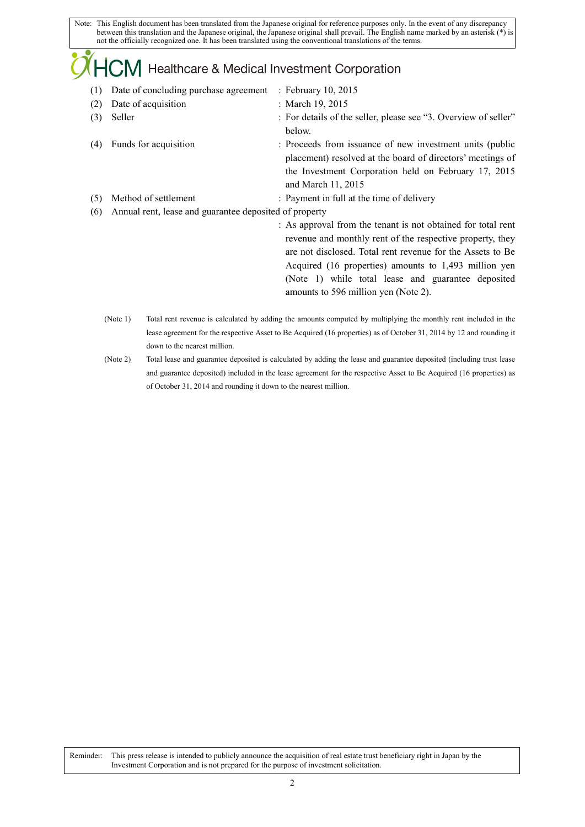### 

- (1) Date of concluding purchase agreement : February 10, 2015 (2) Date of acquisition : March 19, 2015 (3) Seller : For details of the seller, please see "3. Overview of seller"
- below. (4) Funds for acquisition : Proceeds from issuance of new investment units (public placement) resolved at the board of directors' meetings of the Investment Corporation held on February 17, 2015 and March 11, 2015
- (5) Method of settlement : Payment in full at the time of delivery
- (6) Annual rent, lease and guarantee deposited of property

: As approval from the tenant is not obtained for total rent revenue and monthly rent of the respective property, they are not disclosed. Total rent revenue for the Assets to Be Acquired (16 properties) amounts to 1,493 million yen (Note 1) while total lease and guarantee deposited amounts to 596 million yen (Note 2).

- (Note 1) Total rent revenue is calculated by adding the amounts computed by multiplying the monthly rent included in the lease agreement for the respective Asset to Be Acquired (16 properties) as of October 31, 2014 by 12 and rounding it down to the nearest million.
- (Note 2) Total lease and guarantee deposited is calculated by adding the lease and guarantee deposited (including trust lease and guarantee deposited) included in the lease agreement for the respective Asset to Be Acquired (16 properties) as of October 31, 2014 and rounding it down to the nearest million.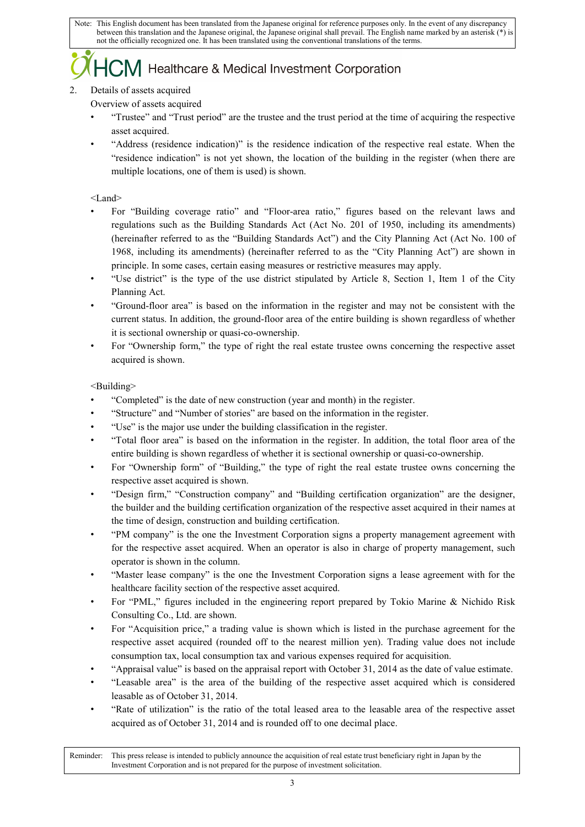## $\sum$ M Healthcare & Medical Investment Corporation

### 2. Details of assets acquired

Overview of assets acquired

- "Trustee" and "Trust period" are the trustee and the trust period at the time of acquiring the respective asset acquired.
- "Address (residence indication)" is the residence indication of the respective real estate. When the "residence indication" is not yet shown, the location of the building in the register (when there are multiple locations, one of them is used) is shown.

<Land>

- For "Building coverage ratio" and "Floor-area ratio," figures based on the relevant laws and regulations such as the Building Standards Act (Act No. 201 of 1950, including its amendments) (hereinafter referred to as the "Building Standards Act") and the City Planning Act (Act No. 100 of 1968, including its amendments) (hereinafter referred to as the "City Planning Act") are shown in principle. In some cases, certain easing measures or restrictive measures may apply.
- "Use district" is the type of the use district stipulated by Article 8, Section 1, Item 1 of the City Planning Act.
- "Ground-floor area" is based on the information in the register and may not be consistent with the current status. In addition, the ground-floor area of the entire building is shown regardless of whether it is sectional ownership or quasi-co-ownership.
- For "Ownership form," the type of right the real estate trustee owns concerning the respective asset acquired is shown.

<Building>

- "Completed" is the date of new construction (year and month) in the register.
- "Structure" and "Number of stories" are based on the information in the register.
- "Use" is the major use under the building classification in the register.
- "Total floor area" is based on the information in the register. In addition, the total floor area of the entire building is shown regardless of whether it is sectional ownership or quasi-co-ownership.
- For "Ownership form" of "Building," the type of right the real estate trustee owns concerning the respective asset acquired is shown.
- "Design firm," "Construction company" and "Building certification organization" are the designer, the builder and the building certification organization of the respective asset acquired in their names at the time of design, construction and building certification.
- "PM company" is the one the Investment Corporation signs a property management agreement with for the respective asset acquired. When an operator is also in charge of property management, such operator is shown in the column.
- "Master lease company" is the one the Investment Corporation signs a lease agreement with for the healthcare facility section of the respective asset acquired.
- For "PML," figures included in the engineering report prepared by Tokio Marine & Nichido Risk Consulting Co., Ltd. are shown.
- For "Acquisition price," a trading value is shown which is listed in the purchase agreement for the respective asset acquired (rounded off to the nearest million yen). Trading value does not include consumption tax, local consumption tax and various expenses required for acquisition.
- "Appraisal value" is based on the appraisal report with October 31, 2014 as the date of value estimate.
- "Leasable area" is the area of the building of the respective asset acquired which is considered leasable as of October 31, 2014.
- "Rate of utilization" is the ratio of the total leased area to the leasable area of the respective asset acquired as of October 31, 2014 and is rounded off to one decimal place.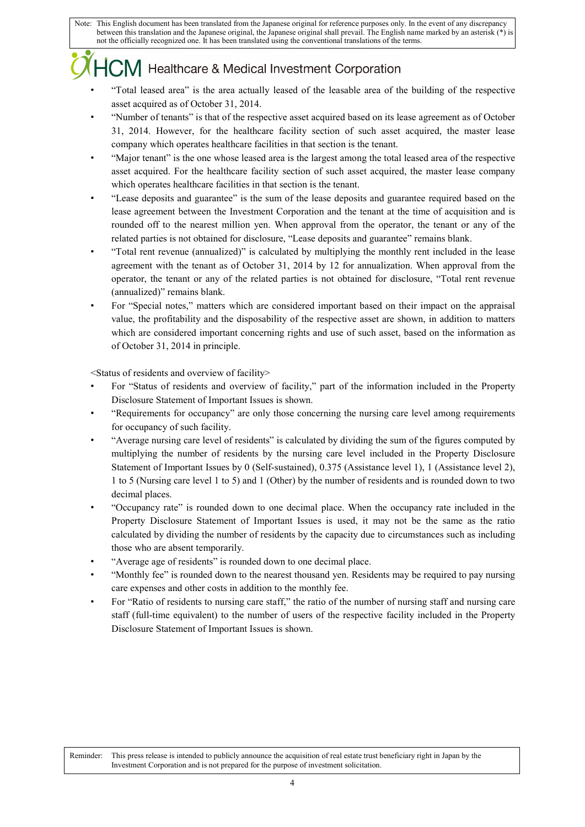# CM Healthcare & Medical Investment Corporation

- "Total leased area" is the area actually leased of the leasable area of the building of the respective asset acquired as of October 31, 2014.
- "Number of tenants" is that of the respective asset acquired based on its lease agreement as of October 31, 2014. However, for the healthcare facility section of such asset acquired, the master lease company which operates healthcare facilities in that section is the tenant.
- "Major tenant" is the one whose leased area is the largest among the total leased area of the respective asset acquired. For the healthcare facility section of such asset acquired, the master lease company which operates healthcare facilities in that section is the tenant.
- "Lease deposits and guarantee" is the sum of the lease deposits and guarantee required based on the lease agreement between the Investment Corporation and the tenant at the time of acquisition and is rounded off to the nearest million yen. When approval from the operator, the tenant or any of the related parties is not obtained for disclosure, "Lease deposits and guarantee" remains blank.
- "Total rent revenue (annualized)" is calculated by multiplying the monthly rent included in the lease agreement with the tenant as of October 31, 2014 by 12 for annualization. When approval from the operator, the tenant or any of the related parties is not obtained for disclosure, "Total rent revenue (annualized)" remains blank.
- For "Special notes," matters which are considered important based on their impact on the appraisal value, the profitability and the disposability of the respective asset are shown, in addition to matters which are considered important concerning rights and use of such asset, based on the information as of October 31, 2014 in principle.

<Status of residents and overview of facility>

- For "Status of residents and overview of facility," part of the information included in the Property Disclosure Statement of Important Issues is shown.
- "Requirements for occupancy" are only those concerning the nursing care level among requirements for occupancy of such facility.
- "Average nursing care level of residents" is calculated by dividing the sum of the figures computed by multiplying the number of residents by the nursing care level included in the Property Disclosure Statement of Important Issues by 0 (Self-sustained), 0.375 (Assistance level 1), 1 (Assistance level 2), 1 to 5 (Nursing care level 1 to 5) and 1 (Other) by the number of residents and is rounded down to two decimal places.
- "Occupancy rate" is rounded down to one decimal place. When the occupancy rate included in the Property Disclosure Statement of Important Issues is used, it may not be the same as the ratio calculated by dividing the number of residents by the capacity due to circumstances such as including those who are absent temporarily.
- "Average age of residents" is rounded down to one decimal place.
- "Monthly fee" is rounded down to the nearest thousand yen. Residents may be required to pay nursing care expenses and other costs in addition to the monthly fee.
- For "Ratio of residents to nursing care staff," the ratio of the number of nursing staff and nursing care staff (full-time equivalent) to the number of users of the respective facility included in the Property Disclosure Statement of Important Issues is shown.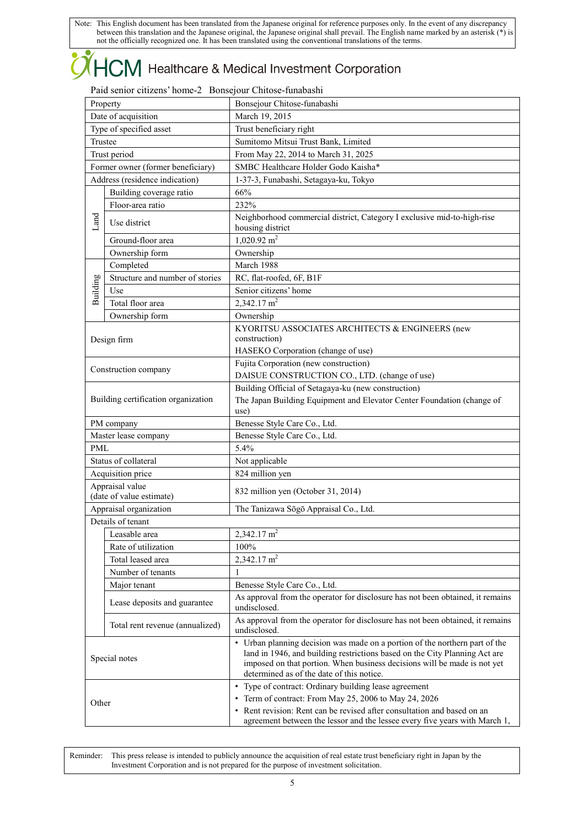### $\dashv{\sf CM}$  Healthcare & Medical Investment Corporation ŀ

### Paid senior citizens' home-2 Bonsejour Chitose-funabashi

| Property |                                             | Bonsejour Chitose-funabashi                                                                                                                                                                                                                                                        |  |  |
|----------|---------------------------------------------|------------------------------------------------------------------------------------------------------------------------------------------------------------------------------------------------------------------------------------------------------------------------------------|--|--|
|          | Date of acquisition                         | March 19, 2015                                                                                                                                                                                                                                                                     |  |  |
|          | Type of specified asset                     | Trust beneficiary right                                                                                                                                                                                                                                                            |  |  |
|          | Trustee                                     | Sumitomo Mitsui Trust Bank, Limited                                                                                                                                                                                                                                                |  |  |
|          | Trust period                                | From May 22, 2014 to March 31, 2025                                                                                                                                                                                                                                                |  |  |
|          | Former owner (former beneficiary)           | SMBC Healthcare Holder Godo Kaisha*                                                                                                                                                                                                                                                |  |  |
|          | Address (residence indication)              | 1-37-3, Funabashi, Setagaya-ku, Tokyo                                                                                                                                                                                                                                              |  |  |
|          | Building coverage ratio                     | 66%                                                                                                                                                                                                                                                                                |  |  |
|          | Floor-area ratio                            | 232%                                                                                                                                                                                                                                                                               |  |  |
| Land     | Use district                                | Neighborhood commercial district, Category I exclusive mid-to-high-rise<br>housing district                                                                                                                                                                                        |  |  |
|          | Ground-floor area                           | $1,020.92 \text{ m}^2$                                                                                                                                                                                                                                                             |  |  |
|          | Ownership form                              | Ownership                                                                                                                                                                                                                                                                          |  |  |
|          | Completed                                   | March 1988                                                                                                                                                                                                                                                                         |  |  |
|          | Structure and number of stories             | RC, flat-roofed, 6F, B1F                                                                                                                                                                                                                                                           |  |  |
| Building | Use                                         | Senior citizens' home                                                                                                                                                                                                                                                              |  |  |
|          | Total floor area                            | $2,342.17 \text{ m}^2$                                                                                                                                                                                                                                                             |  |  |
|          | Ownership form                              | Ownership                                                                                                                                                                                                                                                                          |  |  |
|          | Design firm                                 | KYORITSU ASSOCIATES ARCHITECTS & ENGINEERS (new<br>construction)                                                                                                                                                                                                                   |  |  |
|          |                                             | HASEKO Corporation (change of use)                                                                                                                                                                                                                                                 |  |  |
|          |                                             | Fujita Corporation (new construction)                                                                                                                                                                                                                                              |  |  |
|          | Construction company                        | DAISUE CONSTRUCTION CO., LTD. (change of use)                                                                                                                                                                                                                                      |  |  |
|          | Building certification organization         | Building Official of Setagaya-ku (new construction)<br>The Japan Building Equipment and Elevator Center Foundation (change of<br>use)                                                                                                                                              |  |  |
|          | PM company                                  | Benesse Style Care Co., Ltd.                                                                                                                                                                                                                                                       |  |  |
|          | Master lease company                        | Benesse Style Care Co., Ltd.                                                                                                                                                                                                                                                       |  |  |
| PML      |                                             | 5.4%                                                                                                                                                                                                                                                                               |  |  |
|          | Status of collateral                        | Not applicable                                                                                                                                                                                                                                                                     |  |  |
|          | Acquisition price                           | 824 million yen                                                                                                                                                                                                                                                                    |  |  |
|          | Appraisal value<br>(date of value estimate) | 832 million yen (October 31, 2014)                                                                                                                                                                                                                                                 |  |  |
|          | Appraisal organization                      | The Tanizawa Sōgō Appraisal Co., Ltd.                                                                                                                                                                                                                                              |  |  |
|          | Details of tenant                           |                                                                                                                                                                                                                                                                                    |  |  |
|          | Leasable area                               | 2,342.17 $m2$                                                                                                                                                                                                                                                                      |  |  |
|          | Rate of utilization                         | 100%                                                                                                                                                                                                                                                                               |  |  |
|          | Total leased area                           | 2,342.17 m <sup>2</sup>                                                                                                                                                                                                                                                            |  |  |
|          | Number of tenants                           | 1                                                                                                                                                                                                                                                                                  |  |  |
|          | Major tenant                                | Benesse Style Care Co., Ltd.                                                                                                                                                                                                                                                       |  |  |
|          | Lease deposits and guarantee                | As approval from the operator for disclosure has not been obtained, it remains<br>undisclosed.                                                                                                                                                                                     |  |  |
|          | Total rent revenue (annualized)             | As approval from the operator for disclosure has not been obtained, it remains<br>undisclosed.                                                                                                                                                                                     |  |  |
|          | Special notes                               | • Urban planning decision was made on a portion of the northern part of the<br>land in 1946, and building restrictions based on the City Planning Act are<br>imposed on that portion. When business decisions will be made is not yet<br>determined as of the date of this notice. |  |  |
|          |                                             | • Type of contract: Ordinary building lease agreement                                                                                                                                                                                                                              |  |  |
| Other    |                                             | • Term of contract: From May 25, 2006 to May 24, 2026                                                                                                                                                                                                                              |  |  |
|          |                                             | • Rent revision: Rent can be revised after consultation and based on an<br>agreement between the lessor and the lessee every five years with March 1,                                                                                                                              |  |  |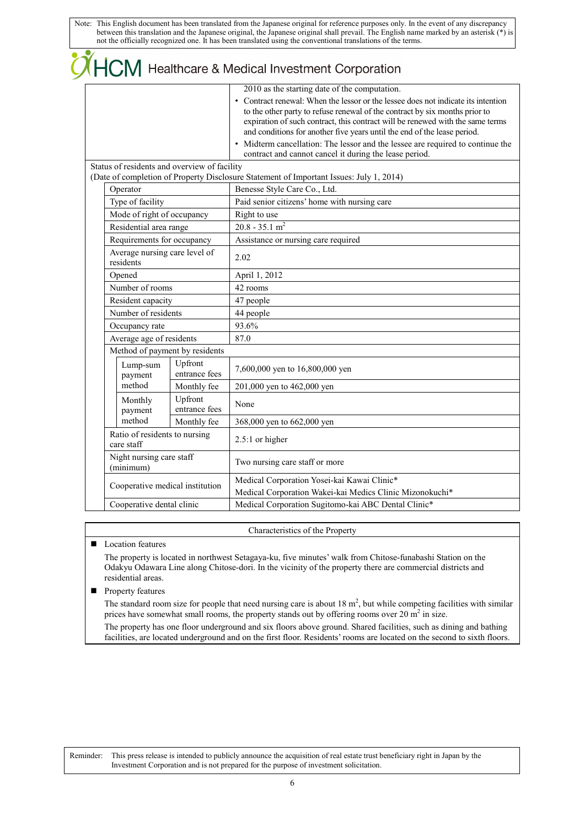|            |                           |                                              | $\mathsf{M}\!\!\mathsf{I}$ Healthcare & Medical Investment Corporation                                                                                                                                                                                                                                                                                                                                                                                                                                                      |
|------------|---------------------------|----------------------------------------------|-----------------------------------------------------------------------------------------------------------------------------------------------------------------------------------------------------------------------------------------------------------------------------------------------------------------------------------------------------------------------------------------------------------------------------------------------------------------------------------------------------------------------------|
|            |                           |                                              | 2010 as the starting date of the computation.<br>• Contract renewal: When the lessor or the lessee does not indicate its intention<br>to the other party to refuse renewal of the contract by six months prior to<br>expiration of such contract, this contract will be renewed with the same terms<br>and conditions for another five years until the end of the lease period.<br>• Midterm cancellation: The lessor and the lessee are required to continue the<br>contract and cannot cancel it during the lease period. |
|            |                           | Status of residents and overview of facility | (Date of completion of Property Disclosure Statement of Important Issues: July 1, 2014)                                                                                                                                                                                                                                                                                                                                                                                                                                     |
| Operator   |                           |                                              | Benesse Style Care Co., Ltd.                                                                                                                                                                                                                                                                                                                                                                                                                                                                                                |
|            | Type of facility          |                                              | Paid senior citizens' home with nursing care                                                                                                                                                                                                                                                                                                                                                                                                                                                                                |
|            |                           | Mode of right of occupancy                   | Right to use                                                                                                                                                                                                                                                                                                                                                                                                                                                                                                                |
|            | Residential area range    |                                              | $20.8 - 35.1$ m <sup>2</sup>                                                                                                                                                                                                                                                                                                                                                                                                                                                                                                |
|            |                           | Requirements for occupancy                   | Assistance or nursing care required                                                                                                                                                                                                                                                                                                                                                                                                                                                                                         |
| residents  |                           | Average nursing care level of                | 2.02                                                                                                                                                                                                                                                                                                                                                                                                                                                                                                                        |
| Opened     |                           |                                              | April 1, 2012                                                                                                                                                                                                                                                                                                                                                                                                                                                                                                               |
|            | Number of rooms           |                                              | 42 rooms                                                                                                                                                                                                                                                                                                                                                                                                                                                                                                                    |
|            | Resident capacity         |                                              | 47 people                                                                                                                                                                                                                                                                                                                                                                                                                                                                                                                   |
|            | Number of residents       |                                              | 44 people                                                                                                                                                                                                                                                                                                                                                                                                                                                                                                                   |
|            | Occupancy rate            |                                              | 93.6%                                                                                                                                                                                                                                                                                                                                                                                                                                                                                                                       |
|            | Average age of residents  |                                              | 87.0                                                                                                                                                                                                                                                                                                                                                                                                                                                                                                                        |
|            |                           | Method of payment by residents               |                                                                                                                                                                                                                                                                                                                                                                                                                                                                                                                             |
|            | Lump-sum<br>payment       | Upfront<br>entrance fees                     | 7,600,000 yen to 16,800,000 yen                                                                                                                                                                                                                                                                                                                                                                                                                                                                                             |
| method     |                           | Monthly fee                                  | 201,000 yen to 462,000 yen                                                                                                                                                                                                                                                                                                                                                                                                                                                                                                  |
|            | Monthly<br>payment        | Upfront<br>entrance fees                     | None                                                                                                                                                                                                                                                                                                                                                                                                                                                                                                                        |
| method     |                           | Monthly fee                                  | 368,000 yen to 662,000 yen                                                                                                                                                                                                                                                                                                                                                                                                                                                                                                  |
| care staff |                           | Ratio of residents to nursing                | $2.5:1$ or higher                                                                                                                                                                                                                                                                                                                                                                                                                                                                                                           |
| (minimum)  | Night nursing care staff  |                                              | Two nursing care staff or more                                                                                                                                                                                                                                                                                                                                                                                                                                                                                              |
|            |                           | Cooperative medical institution              | Medical Corporation Yosei-kai Kawai Clinic*<br>Medical Corporation Wakei-kai Medics Clinic Mizonokuchi*                                                                                                                                                                                                                                                                                                                                                                                                                     |
|            | Cooperative dental clinic |                                              | Medical Corporation Sugitomo-kai ABC Dental Clinic*                                                                                                                                                                                                                                                                                                                                                                                                                                                                         |

Characteristics of the Property

### ■ Location features

The property is located in northwest Setagaya-ku, five minutes' walk from Chitose-funabashi Station on the Odakyu Odawara Line along Chitose-dori. In the vicinity of the property there are commercial districts and residential areas.

### **Property features**

The standard room size for people that need nursing care is about  $18 \text{ m}^2$ , but while competing facilities with similar prices have somewhat small rooms, the property stands out by offering rooms over 20  $\text{m}^2$  in size.

The property has one floor underground and six floors above ground. Shared facilities, such as dining and bathing facilities, are located underground and on the first floor. Residents' rooms are located on the second to sixth floors.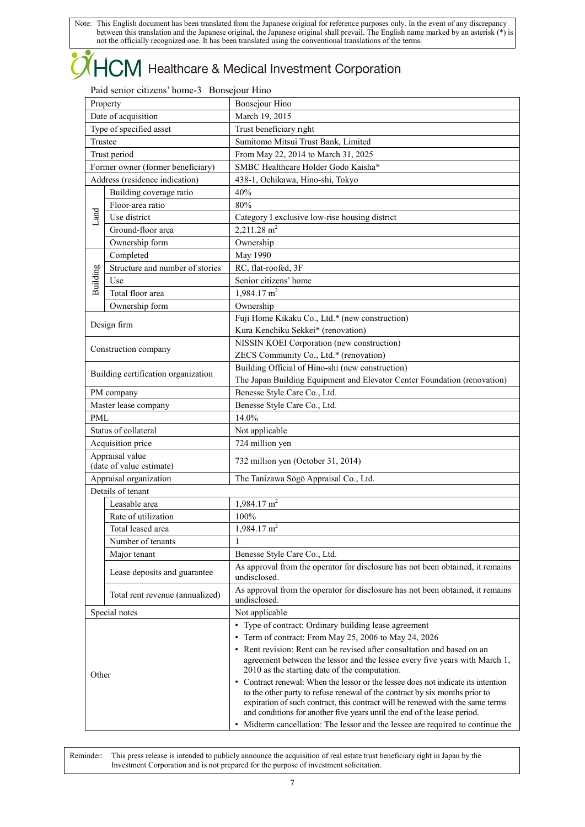### $\mathsf{ICM}\xspace$  Healthcare & Medical Investment Corporation ŀ

### Paid senior citizens' home-3 Bonsejour Hino

| Property |                                     | Bonsejour Hino                                                                                                                                                |
|----------|-------------------------------------|---------------------------------------------------------------------------------------------------------------------------------------------------------------|
|          | Date of acquisition                 | March 19, 2015                                                                                                                                                |
|          | Type of specified asset             | Trust beneficiary right                                                                                                                                       |
|          | Trustee                             | Sumitomo Mitsui Trust Bank, Limited                                                                                                                           |
|          | Trust period                        | From May 22, 2014 to March 31, 2025                                                                                                                           |
|          | Former owner (former beneficiary)   | SMBC Healthcare Holder Godo Kaisha*                                                                                                                           |
|          | Address (residence indication)      | 438-1, Ochikawa, Hino-shi, Tokyo                                                                                                                              |
|          | Building coverage ratio             | 40%                                                                                                                                                           |
|          | Floor-area ratio                    | 80%                                                                                                                                                           |
| Land     | Use district                        | Category I exclusive low-rise housing district                                                                                                                |
|          | Ground-floor area                   | $2,211.28$ m <sup>2</sup>                                                                                                                                     |
|          | Ownership form                      | Ownership                                                                                                                                                     |
|          | Completed                           | May 1990                                                                                                                                                      |
|          | Structure and number of stories     | RC, flat-roofed, 3F                                                                                                                                           |
| Building | Use                                 | Senior citizens' home                                                                                                                                         |
|          | Total floor area                    | $1,984.17 \text{ m}^2$                                                                                                                                        |
|          | Ownership form                      | Ownership                                                                                                                                                     |
|          |                                     | Fuji Home Kikaku Co., Ltd.* (new construction)                                                                                                                |
|          | Design firm                         | Kura Kenchiku Sekkei* (renovation)                                                                                                                            |
|          |                                     | NISSIN KOEI Corporation (new construction)                                                                                                                    |
|          | Construction company                | ZECS Community Co., Ltd.* (renovation)                                                                                                                        |
|          |                                     | Building Official of Hino-shi (new construction)                                                                                                              |
|          | Building certification organization | The Japan Building Equipment and Elevator Center Foundation (renovation)                                                                                      |
|          | PM company                          | Benesse Style Care Co., Ltd.                                                                                                                                  |
|          | Master lease company                | Benesse Style Care Co., Ltd.                                                                                                                                  |
| PML      |                                     | 14.0%                                                                                                                                                         |
|          | Status of collateral                | Not applicable                                                                                                                                                |
|          | Acquisition price                   | 724 million yen                                                                                                                                               |
|          | Appraisal value                     |                                                                                                                                                               |
|          | (date of value estimate)            | 732 million yen (October 31, 2014)                                                                                                                            |
|          | Appraisal organization              | The Tanizawa Sōgō Appraisal Co., Ltd.                                                                                                                         |
|          | Details of tenant                   |                                                                                                                                                               |
|          | Leasable area                       | $1,984.17 \text{ m}^2$                                                                                                                                        |
|          | Rate of utilization                 | 100%                                                                                                                                                          |
|          | Total leased area                   | $1,984.17 \text{ m}^2$                                                                                                                                        |
|          | Number of tenants                   | 1                                                                                                                                                             |
|          | Major tenant                        | Benesse Style Care Co., Ltd.                                                                                                                                  |
|          | Lease deposits and guarantee        | As approval from the operator for disclosure has not been obtained, it remains<br>undisclosed.                                                                |
|          | Total rent revenue (annualized)     | As approval from the operator for disclosure has not been obtained, it remains<br>undisclosed.                                                                |
|          | Special notes                       | Not applicable                                                                                                                                                |
|          |                                     | • Type of contract: Ordinary building lease agreement                                                                                                         |
|          |                                     | • Term of contract: From May 25, 2006 to May 24, 2026                                                                                                         |
|          |                                     | • Rent revision: Rent can be revised after consultation and based on an                                                                                       |
|          |                                     | agreement between the lessor and the lessee every five years with March 1,                                                                                    |
| Other    |                                     | 2010 as the starting date of the computation.                                                                                                                 |
|          |                                     | • Contract renewal: When the lessor or the lessee does not indicate its intention                                                                             |
|          |                                     | to the other party to refuse renewal of the contract by six months prior to<br>expiration of such contract, this contract will be renewed with the same terms |
|          |                                     | and conditions for another five years until the end of the lease period.                                                                                      |
|          |                                     | • Midterm cancellation: The lessor and the lessee are required to continue the                                                                                |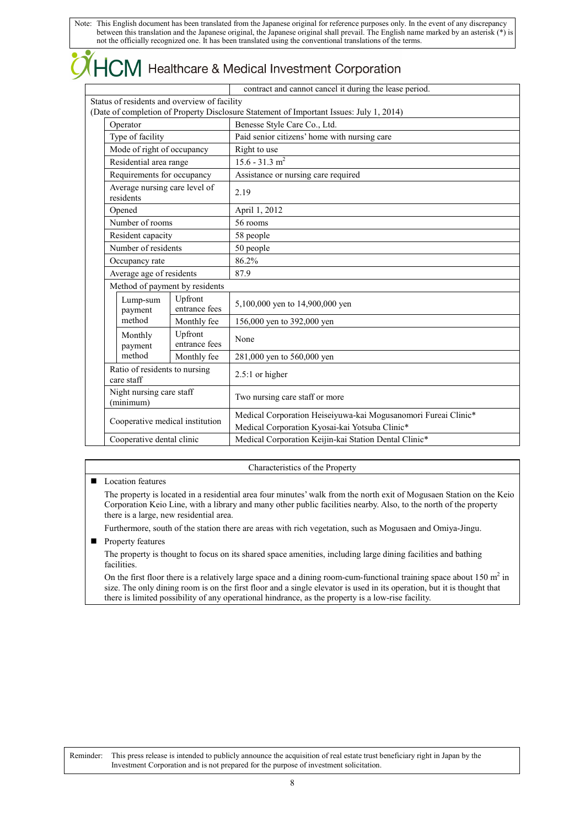# $\overline{\mathsf{LCM}}$  Healthcare & Medical Investment Corporation

|                                              |                                | contract and cannot cancel it during the lease period.                                                           |
|----------------------------------------------|--------------------------------|------------------------------------------------------------------------------------------------------------------|
| Status of residents and overview of facility |                                |                                                                                                                  |
|                                              |                                | (Date of completion of Property Disclosure Statement of Important Issues: July 1, 2014)                          |
| Operator                                     |                                | Benesse Style Care Co., Ltd.                                                                                     |
| Type of facility                             |                                | Paid senior citizens' home with nursing care                                                                     |
| Mode of right of occupancy                   |                                | Right to use                                                                                                     |
| Residential area range                       |                                | $15.6 - 31.3$ m <sup>2</sup>                                                                                     |
| Requirements for occupancy                   |                                | Assistance or nursing care required                                                                              |
| Average nursing care level of<br>residents   |                                | 2.19                                                                                                             |
| Opened                                       |                                | April 1, 2012                                                                                                    |
| Number of rooms                              |                                | 56 rooms                                                                                                         |
| Resident capacity                            |                                | 58 people                                                                                                        |
| Number of residents                          |                                | 50 people                                                                                                        |
| Occupancy rate                               |                                | 86.2%                                                                                                            |
| Average age of residents                     |                                | 87.9                                                                                                             |
|                                              | Method of payment by residents |                                                                                                                  |
| Lump-sum<br>payment                          | Upfront<br>entrance fees       | 5,100,000 yen to 14,900,000 yen                                                                                  |
| method                                       | Monthly fee                    | 156,000 yen to 392,000 yen                                                                                       |
| Monthly<br>payment                           | Upfront<br>entrance fees       | None                                                                                                             |
| method                                       | Monthly fee                    | 281,000 yen to 560,000 yen                                                                                       |
| Ratio of residents to nursing<br>care staff  |                                | 2.5:1 or higher                                                                                                  |
| Night nursing care staff<br>(minimum)        |                                | Two nursing care staff or more                                                                                   |
| Cooperative medical institution              |                                | Medical Corporation Heiseiyuwa-kai Mogusanomori Fureai Clinic*<br>Medical Corporation Kyosai-kai Yotsuba Clinic* |
| Cooperative dental clinic                    |                                | Medical Corporation Keijin-kai Station Dental Clinic*                                                            |
|                                              |                                |                                                                                                                  |

#### Characteristics of the Property

#### **Location features**

The property is located in a residential area four minutes' walk from the north exit of Mogusaen Station on the Keio Corporation Keio Line, with a library and many other public facilities nearby. Also, to the north of the property there is a large, new residential area.

Furthermore, south of the station there are areas with rich vegetation, such as Mogusaen and Omiya-Jingu.

**Property features** 

The property is thought to focus on its shared space amenities, including large dining facilities and bathing facilities.

On the first floor there is a relatively large space and a dining room-cum-functional training space about  $150 \text{ m}^2$  in size. The only dining room is on the first floor and a single elevator is used in its operation, but it is thought that there is limited possibility of any operational hindrance, as the property is a low-rise facility.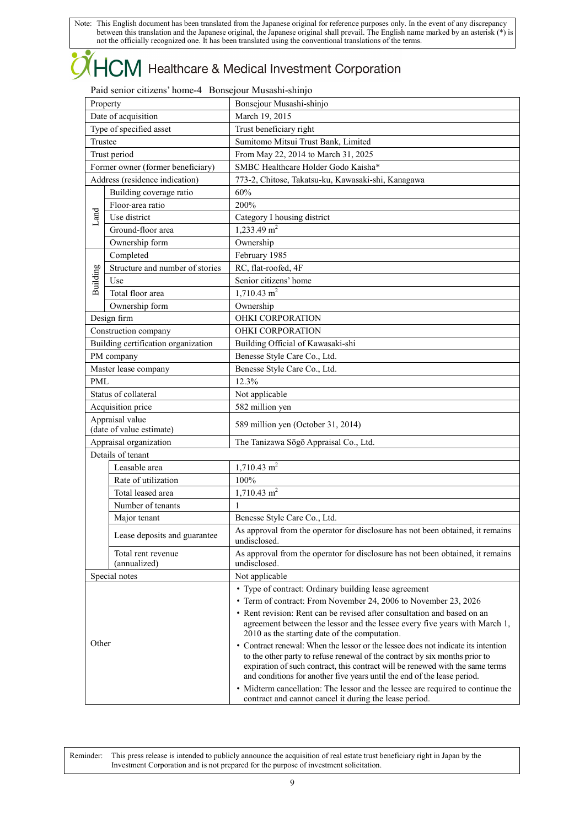## $+C\!M$  Healthcare & Medical Investment Corporation

### Paid senior citizens' home-4 Bonsejour Musashi-shinjo

|            | Property                            | Bonsejour Musashi-shinjo                                                                                                                                         |
|------------|-------------------------------------|------------------------------------------------------------------------------------------------------------------------------------------------------------------|
|            | Date of acquisition                 | March 19, 2015                                                                                                                                                   |
|            | Type of specified asset             | Trust beneficiary right                                                                                                                                          |
| Trustee    |                                     | Sumitomo Mitsui Trust Bank, Limited                                                                                                                              |
|            | Trust period                        | From May 22, 2014 to March 31, 2025                                                                                                                              |
|            | Former owner (former beneficiary)   | SMBC Healthcare Holder Godo Kaisha*                                                                                                                              |
|            | Address (residence indication)      | 773-2, Chitose, Takatsu-ku, Kawasaki-shi, Kanagawa                                                                                                               |
|            | Building coverage ratio             | 60%                                                                                                                                                              |
|            | Floor-area ratio                    | 200%                                                                                                                                                             |
| Land       | Use district                        | Category I housing district                                                                                                                                      |
|            | Ground-floor area                   | 1,233.49 $m2$                                                                                                                                                    |
|            | Ownership form                      | Ownership                                                                                                                                                        |
|            | Completed                           | February 1985                                                                                                                                                    |
|            | Structure and number of stories     | RC, flat-roofed, 4F                                                                                                                                              |
| Building   | Use                                 | Senior citizens' home                                                                                                                                            |
|            | Total floor area                    | $1,710.43$ m <sup>2</sup>                                                                                                                                        |
|            | Ownership form                      | Ownership                                                                                                                                                        |
|            | Design firm                         | OHKI CORPORATION                                                                                                                                                 |
|            | Construction company                | OHKI CORPORATION                                                                                                                                                 |
|            | Building certification organization | Building Official of Kawasaki-shi                                                                                                                                |
|            | PM company                          | Benesse Style Care Co., Ltd.                                                                                                                                     |
|            | Master lease company                | Benesse Style Care Co., Ltd.                                                                                                                                     |
| <b>PML</b> |                                     | 12.3%                                                                                                                                                            |
|            | Status of collateral                | Not applicable                                                                                                                                                   |
|            | Acquisition price                   | 582 million yen                                                                                                                                                  |
|            | Appraisal value                     |                                                                                                                                                                  |
|            | (date of value estimate)            | 589 million yen (October 31, 2014)                                                                                                                               |
|            | Appraisal organization              | The Tanizawa Sōgō Appraisal Co., Ltd.                                                                                                                            |
|            | Details of tenant                   |                                                                                                                                                                  |
|            | Leasable area                       | $1,710.43 \text{ m}^2$                                                                                                                                           |
|            | Rate of utilization                 | 100%                                                                                                                                                             |
|            | Total leased area                   | $1,710.43$ m <sup>2</sup>                                                                                                                                        |
|            | Number of tenants                   | 1                                                                                                                                                                |
|            | Major tenant                        | Benesse Style Care Co., Ltd.                                                                                                                                     |
|            | Lease deposits and guarantee        | As approval from the operator for disclosure has not been obtained, it remains<br>undisclosed.                                                                   |
|            | Total rent revenue<br>(annualized)  | As approval from the operator for disclosure has not been obtained, it remains<br>undisclosed.                                                                   |
|            | Special notes                       | Not applicable                                                                                                                                                   |
|            |                                     | • Type of contract: Ordinary building lease agreement                                                                                                            |
|            |                                     | • Term of contract: From November 24, 2006 to November 23, 2026                                                                                                  |
|            |                                     | • Rent revision: Rent can be revised after consultation and based on an                                                                                          |
|            |                                     | agreement between the lessor and the lessee every five years with March 1,<br>2010 as the starting date of the computation.                                      |
| Other      |                                     | • Contract renewal: When the lessor or the lessee does not indicate its intention<br>to the other party to refuse renewal of the contract by six months prior to |
|            |                                     | expiration of such contract, this contract will be renewed with the same terms<br>and conditions for another five years until the end of the lease period.       |
|            |                                     | • Midterm cancellation: The lessor and the lessee are required to continue the<br>contract and cannot cancel it during the lease period.                         |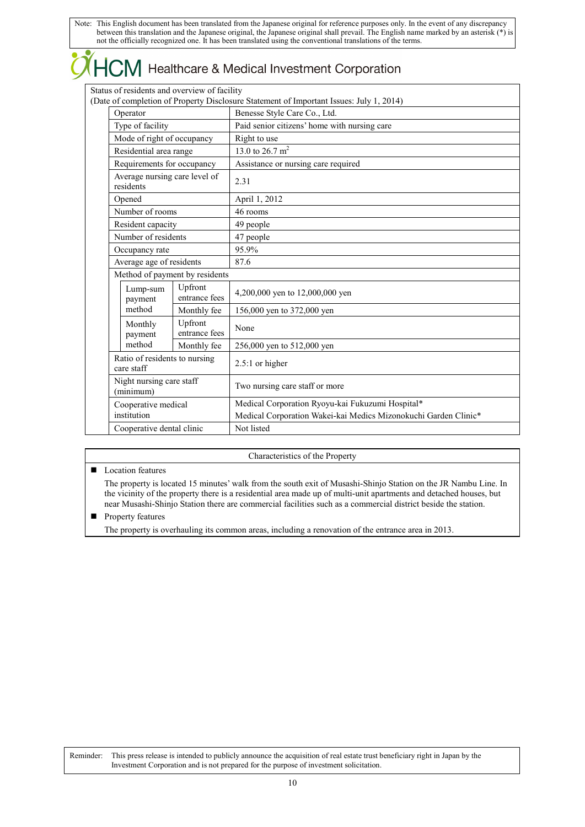|  |                                              |                          | $\widetilde{X}$ $HCM$ Healthcare & Medical Investment Corporation                                                   |
|--|----------------------------------------------|--------------------------|---------------------------------------------------------------------------------------------------------------------|
|  | Status of residents and overview of facility |                          |                                                                                                                     |
|  |                                              |                          | (Date of completion of Property Disclosure Statement of Important Issues: July 1, 2014)                             |
|  | Operator                                     |                          | Benesse Style Care Co., Ltd.                                                                                        |
|  | Type of facility                             |                          | Paid senior citizens' home with nursing care                                                                        |
|  | Mode of right of occupancy                   |                          | Right to use                                                                                                        |
|  | Residential area range                       |                          | 13.0 to $26.\overline{7 \text{ m}^2}$                                                                               |
|  | Requirements for occupancy                   |                          | Assistance or nursing care required                                                                                 |
|  | Average nursing care level of<br>residents   |                          | 2.31                                                                                                                |
|  | Opened                                       |                          | April 1, 2012                                                                                                       |
|  | Number of rooms                              |                          | 46 rooms                                                                                                            |
|  | Resident capacity                            |                          | 49 people                                                                                                           |
|  | Number of residents                          |                          | 47 people                                                                                                           |
|  | Occupancy rate                               |                          | 95.9%                                                                                                               |
|  | Average age of residents                     |                          | 87.6                                                                                                                |
|  | Method of payment by residents               |                          |                                                                                                                     |
|  | Lump-sum<br>payment                          | Upfront<br>entrance fees | 4,200,000 yen to 12,000,000 yen                                                                                     |
|  | method                                       | Monthly fee              | 156,000 yen to 372,000 yen                                                                                          |
|  | Monthly<br>payment                           | Upfront<br>entrance fees | None                                                                                                                |
|  | method                                       | Monthly fee              | 256,000 yen to 512,000 yen                                                                                          |
|  | Ratio of residents to nursing<br>care staff  |                          | 2.5:1 or higher                                                                                                     |
|  | Night nursing care staff<br>(minimum)        |                          | Two nursing care staff or more                                                                                      |
|  | Cooperative medical<br>institution           |                          | Medical Corporation Ryoyu-kai Fukuzumi Hospital*<br>Medical Corporation Wakei-kai Medics Mizonokuchi Garden Clinic* |
|  | Cooperative dental clinic                    |                          | Not listed                                                                                                          |

Characteristics of the Property

### **Location features**

 $\overline{\phantom{a}}$ 7

> The property is located 15 minutes' walk from the south exit of Musashi-Shinjo Station on the JR Nambu Line. In the vicinity of the property there is a residential area made up of multi-unit apartments and detached houses, but near Musashi-Shinjo Station there are commercial facilities such as a commercial district beside the station.

### **Property features**

The property is overhauling its common areas, including a renovation of the entrance area in 2013.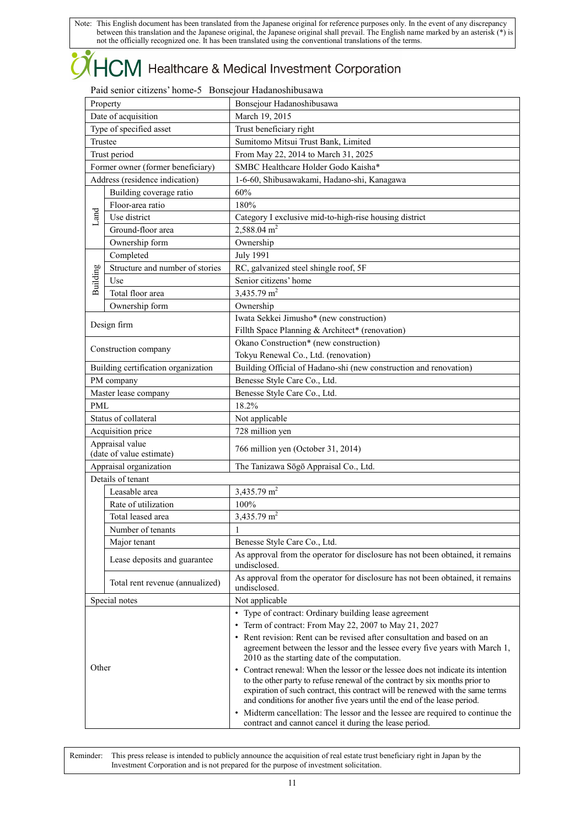## $\mathsf{ICM}\xspace$  Healthcare & Medical Investment Corporation

### Paid senior citizens' home-5 Bonsejour Hadanoshibusawa

|            | Property                                    | Bonsejour Hadanoshibusawa                                                                                                                                                                                                                                                                                                      |  |
|------------|---------------------------------------------|--------------------------------------------------------------------------------------------------------------------------------------------------------------------------------------------------------------------------------------------------------------------------------------------------------------------------------|--|
|            | Date of acquisition                         | March 19, 2015                                                                                                                                                                                                                                                                                                                 |  |
|            | Type of specified asset                     | Trust beneficiary right                                                                                                                                                                                                                                                                                                        |  |
|            | Trustee                                     | Sumitomo Mitsui Trust Bank, Limited                                                                                                                                                                                                                                                                                            |  |
|            | Trust period                                | From May 22, 2014 to March 31, 2025                                                                                                                                                                                                                                                                                            |  |
|            | Former owner (former beneficiary)           | SMBC Healthcare Holder Godo Kaisha*                                                                                                                                                                                                                                                                                            |  |
|            | Address (residence indication)              | 1-6-60, Shibusawakami, Hadano-shi, Kanagawa                                                                                                                                                                                                                                                                                    |  |
|            | Building coverage ratio                     | 60%                                                                                                                                                                                                                                                                                                                            |  |
|            | Floor-area ratio                            | 180%                                                                                                                                                                                                                                                                                                                           |  |
| Land       | Use district                                | Category I exclusive mid-to-high-rise housing district                                                                                                                                                                                                                                                                         |  |
|            | Ground-floor area                           | $2,588.04$ m <sup>2</sup>                                                                                                                                                                                                                                                                                                      |  |
|            | Ownership form                              | Ownership                                                                                                                                                                                                                                                                                                                      |  |
|            | Completed                                   | <b>July 1991</b>                                                                                                                                                                                                                                                                                                               |  |
|            | Structure and number of stories             | RC, galvanized steel shingle roof, 5F                                                                                                                                                                                                                                                                                          |  |
|            | Use                                         |                                                                                                                                                                                                                                                                                                                                |  |
| Building   |                                             | Senior citizens' home<br>3,435.79 m <sup>2</sup>                                                                                                                                                                                                                                                                               |  |
|            | Total floor area                            |                                                                                                                                                                                                                                                                                                                                |  |
|            | Ownership form                              | Ownership                                                                                                                                                                                                                                                                                                                      |  |
|            | Design firm                                 | Iwata Sekkei Jimusho* (new construction)                                                                                                                                                                                                                                                                                       |  |
|            |                                             | Fillth Space Planning & Architect* (renovation)                                                                                                                                                                                                                                                                                |  |
|            | Construction company                        | Okano Construction* (new construction)                                                                                                                                                                                                                                                                                         |  |
|            |                                             | Tokyu Renewal Co., Ltd. (renovation)                                                                                                                                                                                                                                                                                           |  |
|            | Building certification organization         | Building Official of Hadano-shi (new construction and renovation)                                                                                                                                                                                                                                                              |  |
|            | PM company                                  | Benesse Style Care Co., Ltd.                                                                                                                                                                                                                                                                                                   |  |
|            | Master lease company                        | Benesse Style Care Co., Ltd.                                                                                                                                                                                                                                                                                                   |  |
| <b>PML</b> |                                             | 18.2%                                                                                                                                                                                                                                                                                                                          |  |
|            | Status of collateral                        | Not applicable                                                                                                                                                                                                                                                                                                                 |  |
|            | Acquisition price                           | 728 million yen                                                                                                                                                                                                                                                                                                                |  |
|            | Appraisal value<br>(date of value estimate) | 766 million yen (October 31, 2014)                                                                                                                                                                                                                                                                                             |  |
|            | Appraisal organization                      | The Tanizawa Sōgō Appraisal Co., Ltd.                                                                                                                                                                                                                                                                                          |  |
|            | Details of tenant                           |                                                                                                                                                                                                                                                                                                                                |  |
|            | Leasable area                               | 3,435.79 $\overline{m^2}$                                                                                                                                                                                                                                                                                                      |  |
|            | Rate of utilization                         | 100%                                                                                                                                                                                                                                                                                                                           |  |
|            | Total leased area                           | 3,435.79 m <sup>2</sup>                                                                                                                                                                                                                                                                                                        |  |
|            | Number of tenants                           | 1                                                                                                                                                                                                                                                                                                                              |  |
|            | Major tenant                                | Benesse Style Care Co., Ltd.                                                                                                                                                                                                                                                                                                   |  |
|            | Lease deposits and guarantee                | As approval from the operator for disclosure has not been obtained, it remains<br>undisclosed.                                                                                                                                                                                                                                 |  |
|            | Total rent revenue (annualized)             | As approval from the operator for disclosure has not been obtained, it remains<br>undisclosed.                                                                                                                                                                                                                                 |  |
|            | Special notes                               | Not applicable                                                                                                                                                                                                                                                                                                                 |  |
|            |                                             | • Type of contract: Ordinary building lease agreement                                                                                                                                                                                                                                                                          |  |
|            |                                             | • Term of contract: From May 22, 2007 to May 21, 2027                                                                                                                                                                                                                                                                          |  |
|            |                                             | • Rent revision: Rent can be revised after consultation and based on an<br>agreement between the lessor and the lessee every five years with March 1,<br>2010 as the starting date of the computation.                                                                                                                         |  |
| Other      |                                             | • Contract renewal: When the lessor or the lessee does not indicate its intention<br>to the other party to refuse renewal of the contract by six months prior to<br>expiration of such contract, this contract will be renewed with the same terms<br>and conditions for another five years until the end of the lease period. |  |
|            |                                             | • Midterm cancellation: The lessor and the lessee are required to continue the<br>contract and cannot cancel it during the lease period.                                                                                                                                                                                       |  |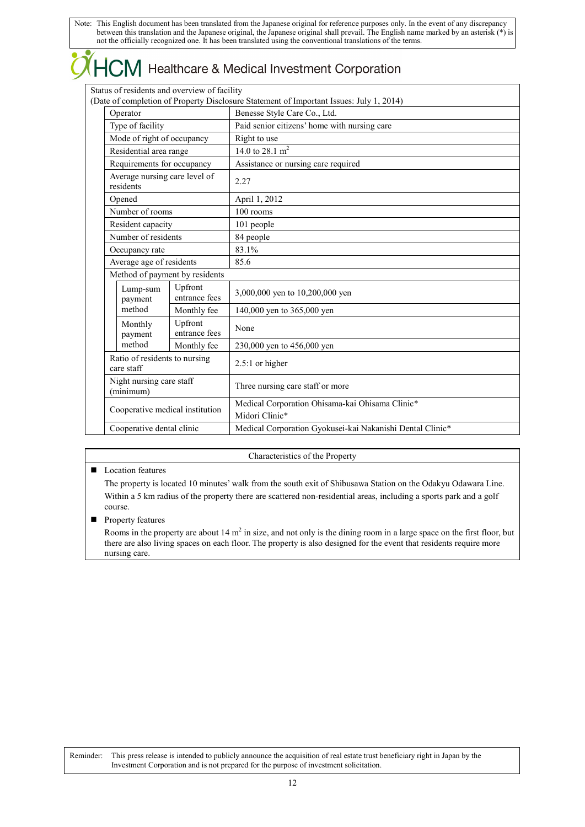|                                              |                          | $\chi$ $HCM$ Healthcare & Medical Investment Corporation                                |
|----------------------------------------------|--------------------------|-----------------------------------------------------------------------------------------|
| Status of residents and overview of facility |                          | (Date of completion of Property Disclosure Statement of Important Issues: July 1, 2014) |
| Operator                                     |                          | Benesse Style Care Co., Ltd.                                                            |
| Type of facility                             |                          | Paid senior citizens' home with nursing care                                            |
| Mode of right of occupancy                   |                          | Right to use                                                                            |
| Residential area range                       |                          | 14.0 to 28.1 m <sup>2</sup>                                                             |
| Requirements for occupancy                   |                          | Assistance or nursing care required                                                     |
| Average nursing care level of<br>residents   |                          | 2.27                                                                                    |
| Opened                                       |                          | April 1, 2012                                                                           |
| Number of rooms                              |                          | 100 rooms                                                                               |
| Resident capacity                            |                          | 101 people                                                                              |
| Number of residents                          |                          | 84 people                                                                               |
| Occupancy rate                               |                          | 83.1%                                                                                   |
| Average age of residents                     |                          | 85.6                                                                                    |
| Method of payment by residents               |                          |                                                                                         |
| Lump-sum<br>payment                          | Upfront<br>entrance fees | 3,000,000 yen to 10,200,000 yen                                                         |
| method                                       | Monthly fee              | 140,000 yen to 365,000 yen                                                              |
| Monthly<br>payment                           | Upfront<br>entrance fees | None                                                                                    |
| method                                       | Monthly fee              | 230,000 yen to 456,000 yen                                                              |
| Ratio of residents to nursing<br>care staff  |                          | $2.5:1$ or higher                                                                       |
| Night nursing care staff<br>(minimum)        |                          | Three nursing care staff or more                                                        |
| Cooperative medical institution              |                          | Medical Corporation Ohisama-kai Ohisama Clinic*<br>Midori Clinic*                       |
| Cooperative dental clinic                    |                          | Medical Corporation Gyokusei-kai Nakanishi Dental Clinic*                               |

Characteristics of the Property

■ Location features

 $\bullet$ 

The property is located 10 minutes' walk from the south exit of Shibusawa Station on the Odakyu Odawara Line. Within a 5 km radius of the property there are scattered non-residential areas, including a sports park and a golf course.

**Property features** 

Rooms in the property are about  $14 \text{ m}^2$  in size, and not only is the dining room in a large space on the first floor, but there are also living spaces on each floor. The property is also designed for the event that residents require more nursing care.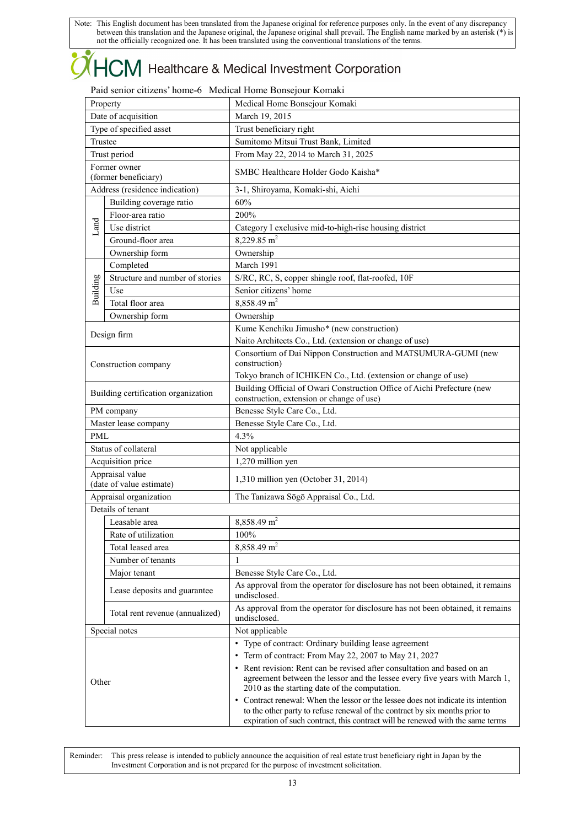### $+C\!M$  Healthcare & Medical Investment Corporation ŀ

### Paid senior citizens' home-6 Medical Home Bonsejour Komaki

| Property |                                             | Medical Home Bonsejour Komaki                                                                                                                                                                                                                                                                                                                                                                                 |
|----------|---------------------------------------------|---------------------------------------------------------------------------------------------------------------------------------------------------------------------------------------------------------------------------------------------------------------------------------------------------------------------------------------------------------------------------------------------------------------|
|          | Date of acquisition                         | March 19, 2015                                                                                                                                                                                                                                                                                                                                                                                                |
|          | Type of specified asset                     | Trust beneficiary right                                                                                                                                                                                                                                                                                                                                                                                       |
| Trustee  |                                             | Sumitomo Mitsui Trust Bank, Limited                                                                                                                                                                                                                                                                                                                                                                           |
|          | Trust period                                | From May 22, 2014 to March 31, 2025                                                                                                                                                                                                                                                                                                                                                                           |
|          | Former owner<br>(former beneficiary)        | SMBC Healthcare Holder Godo Kaisha*                                                                                                                                                                                                                                                                                                                                                                           |
|          | Address (residence indication)              | 3-1, Shiroyama, Komaki-shi, Aichi                                                                                                                                                                                                                                                                                                                                                                             |
|          | Building coverage ratio                     | 60%                                                                                                                                                                                                                                                                                                                                                                                                           |
|          | Floor-area ratio                            | 200%                                                                                                                                                                                                                                                                                                                                                                                                          |
| Land     | Use district                                | Category I exclusive mid-to-high-rise housing district                                                                                                                                                                                                                                                                                                                                                        |
|          | Ground-floor area                           | $8,229.85 \text{ m}^2$                                                                                                                                                                                                                                                                                                                                                                                        |
|          | Ownership form                              | Ownership                                                                                                                                                                                                                                                                                                                                                                                                     |
|          | Completed                                   | March 1991                                                                                                                                                                                                                                                                                                                                                                                                    |
|          | Structure and number of stories             | S/RC, RC, S, copper shingle roof, flat-roofed, 10F                                                                                                                                                                                                                                                                                                                                                            |
| Building | Use                                         | Senior citizens' home                                                                                                                                                                                                                                                                                                                                                                                         |
|          | Total floor area                            | 8,858.49 m <sup>2</sup>                                                                                                                                                                                                                                                                                                                                                                                       |
|          | Ownership form                              | Ownership                                                                                                                                                                                                                                                                                                                                                                                                     |
|          |                                             | Kume Kenchiku Jimusho* (new construction)                                                                                                                                                                                                                                                                                                                                                                     |
|          | Design firm                                 | Naito Architects Co., Ltd. (extension or change of use)                                                                                                                                                                                                                                                                                                                                                       |
|          |                                             | Consortium of Dai Nippon Construction and MATSUMURA-GUMI (new                                                                                                                                                                                                                                                                                                                                                 |
|          | Construction company                        | construction)                                                                                                                                                                                                                                                                                                                                                                                                 |
|          |                                             | Tokyo branch of ICHIKEN Co., Ltd. (extension or change of use)                                                                                                                                                                                                                                                                                                                                                |
|          | Building certification organization         | Building Official of Owari Construction Office of Aichi Prefecture (new<br>construction, extension or change of use)                                                                                                                                                                                                                                                                                          |
|          | PM company                                  | Benesse Style Care Co., Ltd.                                                                                                                                                                                                                                                                                                                                                                                  |
|          | Master lease company                        | Benesse Style Care Co., Ltd.                                                                                                                                                                                                                                                                                                                                                                                  |
| PML      |                                             | 4.3%                                                                                                                                                                                                                                                                                                                                                                                                          |
|          | Status of collateral                        | Not applicable                                                                                                                                                                                                                                                                                                                                                                                                |
|          | Acquisition price                           | 1,270 million yen                                                                                                                                                                                                                                                                                                                                                                                             |
|          | Appraisal value<br>(date of value estimate) | 1,310 million yen (October 31, 2014)                                                                                                                                                                                                                                                                                                                                                                          |
|          | Appraisal organization                      | The Tanizawa Sōgō Appraisal Co., Ltd.                                                                                                                                                                                                                                                                                                                                                                         |
|          | Details of tenant                           |                                                                                                                                                                                                                                                                                                                                                                                                               |
|          | Leasable area                               | 8,858.49 m <sup>2</sup>                                                                                                                                                                                                                                                                                                                                                                                       |
|          | Rate of utilization                         | 100%                                                                                                                                                                                                                                                                                                                                                                                                          |
|          | Total leased area                           | 8,858.49 m <sup>2</sup>                                                                                                                                                                                                                                                                                                                                                                                       |
|          | Number of tenants                           | 1                                                                                                                                                                                                                                                                                                                                                                                                             |
|          | Major tenant                                | Benesse Style Care Co., Ltd.                                                                                                                                                                                                                                                                                                                                                                                  |
|          |                                             | As approval from the operator for disclosure has not been obtained, it remains                                                                                                                                                                                                                                                                                                                                |
|          | Lease deposits and guarantee                | undisclosed.                                                                                                                                                                                                                                                                                                                                                                                                  |
|          | Total rent revenue (annualized)             | As approval from the operator for disclosure has not been obtained, it remains<br>undisclosed.                                                                                                                                                                                                                                                                                                                |
|          | Special notes                               | Not applicable                                                                                                                                                                                                                                                                                                                                                                                                |
| Other    |                                             | • Type of contract: Ordinary building lease agreement<br>• Term of contract: From May 22, 2007 to May 21, 2027<br>• Rent revision: Rent can be revised after consultation and based on an<br>agreement between the lessor and the lessee every five years with March 1,<br>2010 as the starting date of the computation.<br>• Contract renewal: When the lessor or the lessee does not indicate its intention |
|          |                                             | to the other party to refuse renewal of the contract by six months prior to<br>expiration of such contract, this contract will be renewed with the same terms                                                                                                                                                                                                                                                 |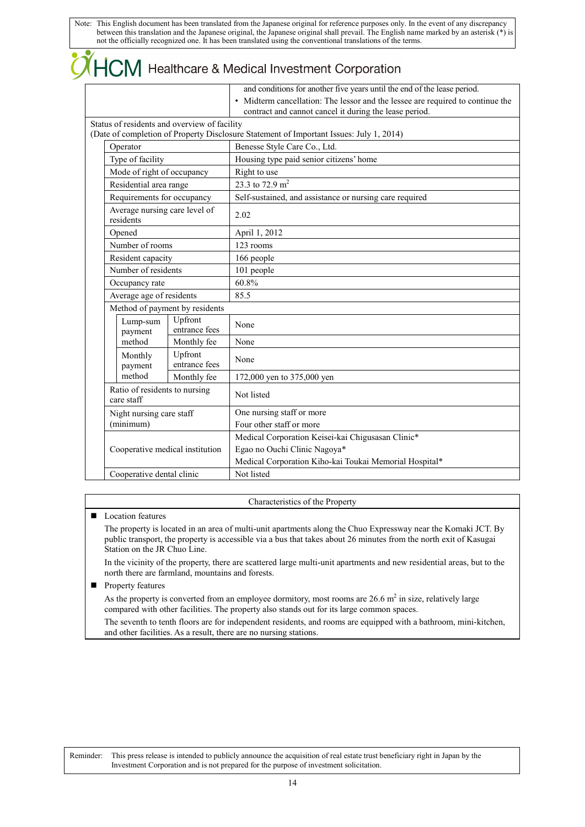# $(HCM)$  Healthcare & Medical Investment Corporation

|                                             |                                              | and conditions for another five years until the end of the lease period.                                                                 |
|---------------------------------------------|----------------------------------------------|------------------------------------------------------------------------------------------------------------------------------------------|
|                                             |                                              | • Midterm cancellation: The lessor and the lessee are required to continue the<br>contract and cannot cancel it during the lease period. |
|                                             | Status of residents and overview of facility |                                                                                                                                          |
|                                             |                                              | (Date of completion of Property Disclosure Statement of Important Issues: July 1, 2014)                                                  |
| Operator                                    |                                              | Benesse Style Care Co., Ltd.                                                                                                             |
| Type of facility                            |                                              | Housing type paid senior citizens' home                                                                                                  |
| Mode of right of occupancy                  |                                              | Right to use                                                                                                                             |
| Residential area range                      |                                              | 23.3 to $\frac{1}{2.9}$ m <sup>2</sup>                                                                                                   |
| Requirements for occupancy                  |                                              | Self-sustained, and assistance or nursing care required                                                                                  |
| residents                                   | Average nursing care level of                | 2.02                                                                                                                                     |
| Opened                                      |                                              | April 1, 2012                                                                                                                            |
| Number of rooms                             |                                              | 123 rooms                                                                                                                                |
| Resident capacity                           |                                              | 166 people                                                                                                                               |
| Number of residents                         |                                              | 101 people                                                                                                                               |
| Occupancy rate                              |                                              | 60.8%                                                                                                                                    |
| Average age of residents                    |                                              | 85.5                                                                                                                                     |
|                                             | Method of payment by residents               |                                                                                                                                          |
| Lump-sum<br>payment                         | Upfront<br>entrance fees                     | None                                                                                                                                     |
| method                                      | Monthly fee                                  | None                                                                                                                                     |
| Monthly<br>payment                          | Upfront<br>entrance fees                     | None                                                                                                                                     |
| method                                      | Monthly fee                                  | 172,000 yen to 375,000 yen                                                                                                               |
| Ratio of residents to nursing<br>care staff |                                              | Not listed                                                                                                                               |
| Night nursing care staff                    |                                              | One nursing staff or more                                                                                                                |
| (minimum)                                   |                                              | Four other staff or more                                                                                                                 |
|                                             |                                              | Medical Corporation Keisei-kai Chigusasan Clinic*                                                                                        |
|                                             | Cooperative medical institution              | Egao no Ouchi Clinic Nagoya*                                                                                                             |
|                                             |                                              | Medical Corporation Kiho-kai Toukai Memorial Hospital*                                                                                   |
| Cooperative dental clinic                   |                                              | Not listed                                                                                                                               |
|                                             |                                              |                                                                                                                                          |

### Characteristics of the Property

### ■ Location features

The property is located in an area of multi-unit apartments along the Chuo Expressway near the Komaki JCT. By public transport, the property is accessible via a bus that takes about 26 minutes from the north exit of Kasugai Station on the JR Chuo Line.

In the vicinity of the property, there are scattered large multi-unit apartments and new residential areas, but to the north there are farmland, mountains and forests.

**Property features** 

As the property is converted from an employee dormitory, most rooms are  $26.6$  m<sup>2</sup> in size, relatively large compared with other facilities. The property also stands out for its large common spaces.

The seventh to tenth floors are for independent residents, and rooms are equipped with a bathroom, mini-kitchen, and other facilities. As a result, there are no nursing stations.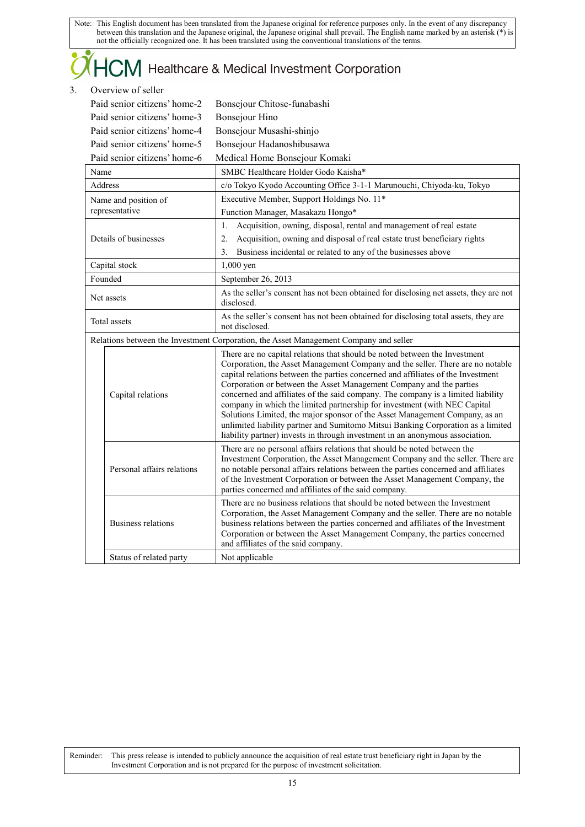## $\dag$  Healthcare & Medical Investment Corporation

### 3. Overview of seller

|      | Paid senior citizens' home-2                         | Bonsejour Chitose-funabashi                                                                                                                                                                                                                                                                                                                                                                                                                                                                                                                                                                                                                                    |
|------|------------------------------------------------------|----------------------------------------------------------------------------------------------------------------------------------------------------------------------------------------------------------------------------------------------------------------------------------------------------------------------------------------------------------------------------------------------------------------------------------------------------------------------------------------------------------------------------------------------------------------------------------------------------------------------------------------------------------------|
|      | Paid senior citizens' home-3                         | <b>Bonsejour Hino</b>                                                                                                                                                                                                                                                                                                                                                                                                                                                                                                                                                                                                                                          |
|      | Paid senior citizens' home-4                         | Bonsejour Musashi-shinjo                                                                                                                                                                                                                                                                                                                                                                                                                                                                                                                                                                                                                                       |
|      | Paid senior citizens' home-5                         | Bonsejour Hadanoshibusawa                                                                                                                                                                                                                                                                                                                                                                                                                                                                                                                                                                                                                                      |
|      | Paid senior citizens' home-6                         | Medical Home Bonsejour Komaki                                                                                                                                                                                                                                                                                                                                                                                                                                                                                                                                                                                                                                  |
| Name |                                                      | SMBC Healthcare Holder Godo Kaisha*                                                                                                                                                                                                                                                                                                                                                                                                                                                                                                                                                                                                                            |
|      | Address                                              | c/o Tokyo Kyodo Accounting Office 3-1-1 Marunouchi, Chiyoda-ku, Tokyo                                                                                                                                                                                                                                                                                                                                                                                                                                                                                                                                                                                          |
|      | Name and position of                                 | Executive Member, Support Holdings No. 11*                                                                                                                                                                                                                                                                                                                                                                                                                                                                                                                                                                                                                     |
|      | representative                                       | Function Manager, Masakazu Hongo*                                                                                                                                                                                                                                                                                                                                                                                                                                                                                                                                                                                                                              |
|      |                                                      | Acquisition, owning, disposal, rental and management of real estate<br>1.                                                                                                                                                                                                                                                                                                                                                                                                                                                                                                                                                                                      |
|      | Details of businesses                                | Acquisition, owning and disposal of real estate trust beneficiary rights<br>2.                                                                                                                                                                                                                                                                                                                                                                                                                                                                                                                                                                                 |
|      |                                                      | Business incidental or related to any of the businesses above<br>3.                                                                                                                                                                                                                                                                                                                                                                                                                                                                                                                                                                                            |
|      | Capital stock                                        | 1,000 yen                                                                                                                                                                                                                                                                                                                                                                                                                                                                                                                                                                                                                                                      |
|      | Founded                                              | September 26, 2013                                                                                                                                                                                                                                                                                                                                                                                                                                                                                                                                                                                                                                             |
|      | Net assets                                           | As the seller's consent has not been obtained for disclosing net assets, they are not<br>disclosed.                                                                                                                                                                                                                                                                                                                                                                                                                                                                                                                                                            |
|      | Total assets                                         | As the seller's consent has not been obtained for disclosing total assets, they are<br>not disclosed.                                                                                                                                                                                                                                                                                                                                                                                                                                                                                                                                                          |
|      |                                                      | Relations between the Investment Corporation, the Asset Management Company and seller                                                                                                                                                                                                                                                                                                                                                                                                                                                                                                                                                                          |
|      |                                                      | There are no capital relations that should be noted between the Investment                                                                                                                                                                                                                                                                                                                                                                                                                                                                                                                                                                                     |
|      | Capital relations                                    | Corporation, the Asset Management Company and the seller. There are no notable<br>capital relations between the parties concerned and affiliates of the Investment<br>Corporation or between the Asset Management Company and the parties<br>concerned and affiliates of the said company. The company is a limited liability<br>company in which the limited partnership for investment (with NEC Capital<br>Solutions Limited, the major sponsor of the Asset Management Company, as an<br>unlimited liability partner and Sumitomo Mitsui Banking Corporation as a limited<br>liability partner) invests in through investment in an anonymous association. |
|      | Personal affairs relations                           | There are no personal affairs relations that should be noted between the<br>Investment Corporation, the Asset Management Company and the seller. There are<br>no notable personal affairs relations between the parties concerned and affiliates<br>of the Investment Corporation or between the Asset Management Company, the<br>parties concerned and affiliates of the said company.                                                                                                                                                                                                                                                                        |
|      | <b>Business relations</b><br>Status of related party | There are no business relations that should be noted between the Investment<br>Corporation, the Asset Management Company and the seller. There are no notable<br>business relations between the parties concerned and affiliates of the Investment<br>Corporation or between the Asset Management Company, the parties concerned<br>and affiliates of the said company.<br>Not applicable                                                                                                                                                                                                                                                                      |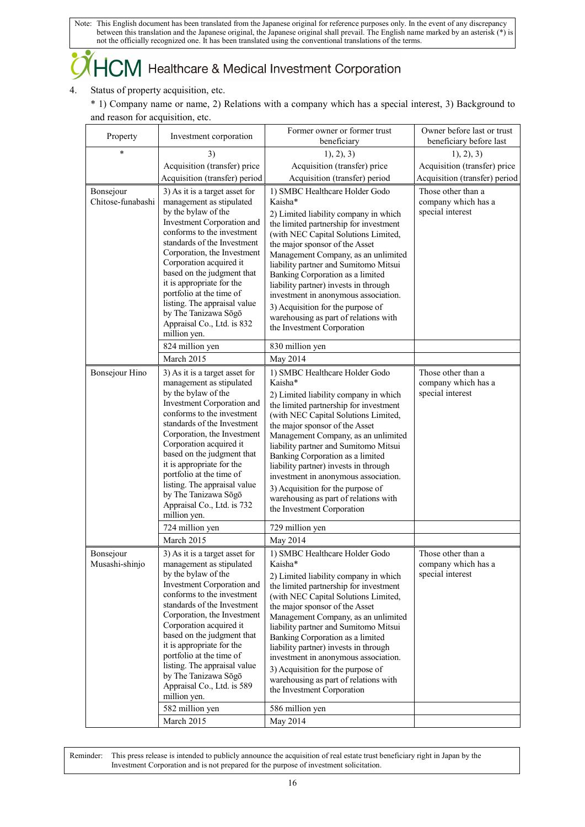### $+C\!M$  Healthcare & Medical Investment Corporation

### 4. Status of property acquisition, etc.

\* 1) Company name or name, 2) Relations with a company which has a special interest, 3) Background to and reason for acquisition, etc.

| Property          | Investment corporation                                   | Former owner or former trust<br>beneficiary                                    | Owner before last or trust<br>beneficiary before last |
|-------------------|----------------------------------------------------------|--------------------------------------------------------------------------------|-------------------------------------------------------|
| *                 | 3)                                                       | 1), 2), 3)                                                                     | 1, 2, 3)                                              |
|                   | Acquisition (transfer) price                             | Acquisition (transfer) price                                                   | Acquisition (transfer) price                          |
|                   | Acquisition (transfer) period                            | Acquisition (transfer) period                                                  | Acquisition (transfer) period                         |
| Bonsejour         | 3) As it is a target asset for                           | 1) SMBC Healthcare Holder Godo                                                 | Those other than a                                    |
| Chitose-funabashi | management as stipulated                                 | Kaisha*                                                                        | company which has a                                   |
|                   | by the bylaw of the                                      | 2) Limited liability company in which                                          | special interest                                      |
|                   | Investment Corporation and                               | the limited partnership for investment                                         |                                                       |
|                   | conforms to the investment                               | (with NEC Capital Solutions Limited,                                           |                                                       |
|                   | standards of the Investment                              | the major sponsor of the Asset                                                 |                                                       |
|                   | Corporation, the Investment                              | Management Company, as an unlimited                                            |                                                       |
|                   | Corporation acquired it<br>based on the judgment that    | liability partner and Sumitomo Mitsui                                          |                                                       |
|                   | it is appropriate for the                                | Banking Corporation as a limited                                               |                                                       |
|                   | portfolio at the time of                                 | liability partner) invests in through<br>investment in anonymous association.  |                                                       |
|                   | listing. The appraisal value                             | 3) Acquisition for the purpose of                                              |                                                       |
|                   | by The Tanizawa Sōgō                                     | warehousing as part of relations with                                          |                                                       |
|                   | Appraisal Co., Ltd. is 832                               | the Investment Corporation                                                     |                                                       |
|                   | million yen.                                             |                                                                                |                                                       |
|                   | 824 million yen                                          | 830 million yen                                                                |                                                       |
|                   | March 2015                                               | May 2014                                                                       |                                                       |
| Bonsejour Hino    | 3) As it is a target asset for                           | 1) SMBC Healthcare Holder Godo                                                 | Those other than a                                    |
|                   | management as stipulated                                 | Kaisha*                                                                        | company which has a                                   |
|                   | by the bylaw of the                                      | 2) Limited liability company in which                                          | special interest                                      |
|                   | Investment Corporation and<br>conforms to the investment | the limited partnership for investment                                         |                                                       |
|                   | standards of the Investment                              | (with NEC Capital Solutions Limited,<br>the major sponsor of the Asset         |                                                       |
|                   | Corporation, the Investment                              | Management Company, as an unlimited                                            |                                                       |
|                   | Corporation acquired it                                  | liability partner and Sumitomo Mitsui                                          |                                                       |
|                   | based on the judgment that                               | Banking Corporation as a limited                                               |                                                       |
|                   | it is appropriate for the                                | liability partner) invests in through                                          |                                                       |
|                   | portfolio at the time of                                 | investment in anonymous association.                                           |                                                       |
|                   | listing. The appraisal value<br>by The Tanizawa Sōgō     | 3) Acquisition for the purpose of                                              |                                                       |
|                   | Appraisal Co., Ltd. is 732                               | warehousing as part of relations with                                          |                                                       |
|                   | million yen.                                             | the Investment Corporation                                                     |                                                       |
|                   | 724 million yen                                          | 729 million yen                                                                |                                                       |
|                   | March 2015                                               | May 2014                                                                       |                                                       |
| Bonsejour         | 3) As it is a target asset for                           | 1) SMBC Healthcare Holder Godo                                                 | Those other than a                                    |
| Musashi-shinjo    | management as stipulated                                 | Kaisha*                                                                        | company which has a<br>special interest               |
|                   | by the bylaw of the<br>Investment Corporation and        | 2) Limited liability company in which                                          |                                                       |
|                   | conforms to the investment                               | the limited partnership for investment<br>(with NEC Capital Solutions Limited, |                                                       |
|                   | standards of the Investment                              | the major sponsor of the Asset                                                 |                                                       |
|                   | Corporation, the Investment                              | Management Company, as an unlimited                                            |                                                       |
|                   | Corporation acquired it                                  | liability partner and Sumitomo Mitsui                                          |                                                       |
|                   | based on the judgment that                               | Banking Corporation as a limited                                               |                                                       |
|                   | it is appropriate for the<br>portfolio at the time of    | liability partner) invests in through                                          |                                                       |
|                   | listing. The appraisal value                             | investment in anonymous association.                                           |                                                       |
|                   | by The Tanizawa Sōgō                                     | 3) Acquisition for the purpose of<br>warehousing as part of relations with     |                                                       |
|                   | Appraisal Co., Ltd. is 589                               | the Investment Corporation                                                     |                                                       |
|                   | million yen.                                             |                                                                                |                                                       |
|                   | 582 million yen                                          | 586 million yen                                                                |                                                       |
|                   | March 2015                                               | May 2014                                                                       |                                                       |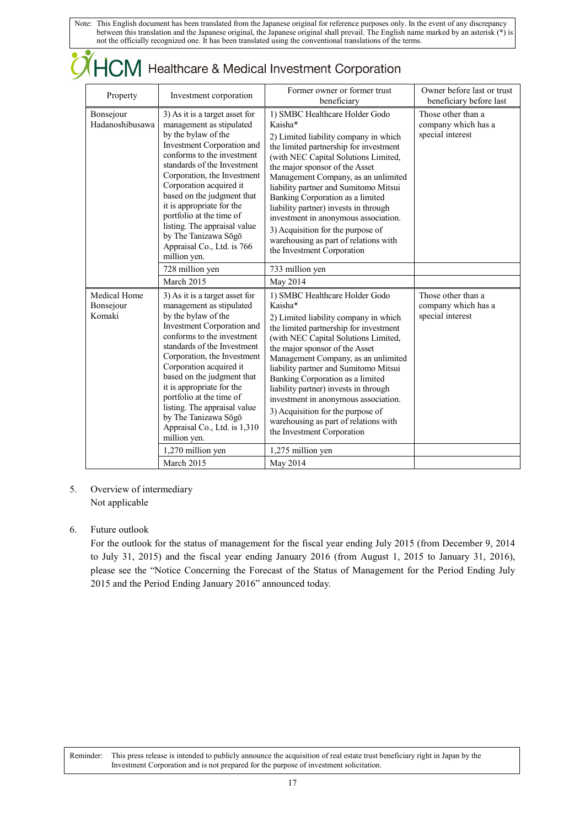| Property                            | Investment corporation                                                                                                                                                                                                                                                                                                                                                                                                                | Former owner or former trust<br>beneficiary                                                                                                                                                                                                                                                                                                                                                                                                                                                                             | Owner before last or trust<br>beneficiary before last         |
|-------------------------------------|---------------------------------------------------------------------------------------------------------------------------------------------------------------------------------------------------------------------------------------------------------------------------------------------------------------------------------------------------------------------------------------------------------------------------------------|-------------------------------------------------------------------------------------------------------------------------------------------------------------------------------------------------------------------------------------------------------------------------------------------------------------------------------------------------------------------------------------------------------------------------------------------------------------------------------------------------------------------------|---------------------------------------------------------------|
| Bonsejour<br>Hadanoshibusawa        | 3) As it is a target asset for<br>management as stipulated<br>by the bylaw of the<br>Investment Corporation and<br>conforms to the investment<br>standards of the Investment<br>Corporation, the Investment<br>Corporation acquired it<br>based on the judgment that<br>it is appropriate for the<br>portfolio at the time of<br>listing. The appraisal value<br>by The Tanizawa Sōgō<br>Appraisal Co., Ltd. is 766<br>million yen.   | 1) SMBC Healthcare Holder Godo<br>Kaisha*<br>2) Limited liability company in which<br>the limited partnership for investment<br>(with NEC Capital Solutions Limited,<br>the major sponsor of the Asset<br>Management Company, as an unlimited<br>liability partner and Sumitomo Mitsui<br>Banking Corporation as a limited<br>liability partner) invests in through<br>investment in anonymous association.<br>3) Acquisition for the purpose of<br>warehousing as part of relations with<br>the Investment Corporation | Those other than a<br>company which has a<br>special interest |
|                                     | 728 million yen                                                                                                                                                                                                                                                                                                                                                                                                                       | 733 million yen                                                                                                                                                                                                                                                                                                                                                                                                                                                                                                         |                                                               |
|                                     | March 2015                                                                                                                                                                                                                                                                                                                                                                                                                            | May 2014                                                                                                                                                                                                                                                                                                                                                                                                                                                                                                                |                                                               |
| Medical Home<br>Bonsejour<br>Komaki | 3) As it is a target asset for<br>management as stipulated<br>by the bylaw of the<br>Investment Corporation and<br>conforms to the investment<br>standards of the Investment<br>Corporation, the Investment<br>Corporation acquired it<br>based on the judgment that<br>it is appropriate for the<br>portfolio at the time of<br>listing. The appraisal value<br>by The Tanizawa Sōgō<br>Appraisal Co., Ltd. is 1,310<br>million yen. | 1) SMBC Healthcare Holder Godo<br>Kaisha*<br>2) Limited liability company in which<br>the limited partnership for investment<br>(with NEC Capital Solutions Limited,<br>the major sponsor of the Asset<br>Management Company, as an unlimited<br>liability partner and Sumitomo Mitsui<br>Banking Corporation as a limited<br>liability partner) invests in through<br>investment in anonymous association.<br>3) Acquisition for the purpose of<br>warehousing as part of relations with<br>the Investment Corporation | Those other than a<br>company which has a<br>special interest |
|                                     | 1,270 million yen                                                                                                                                                                                                                                                                                                                                                                                                                     | 1,275 million yen                                                                                                                                                                                                                                                                                                                                                                                                                                                                                                       |                                                               |
|                                     |                                                                                                                                                                                                                                                                                                                                                                                                                                       |                                                                                                                                                                                                                                                                                                                                                                                                                                                                                                                         |                                                               |

### 5. Overview of intermediary Not applicable

### 6. Future outlook

For the outlook for the status of management for the fiscal year ending July 2015 (from December 9, 2014 to July 31, 2015) and the fiscal year ending January 2016 (from August 1, 2015 to January 31, 2016), please see the "Notice Concerning the Forecast of the Status of Management for the Period Ending July 2015 and the Period Ending January 2016" announced today.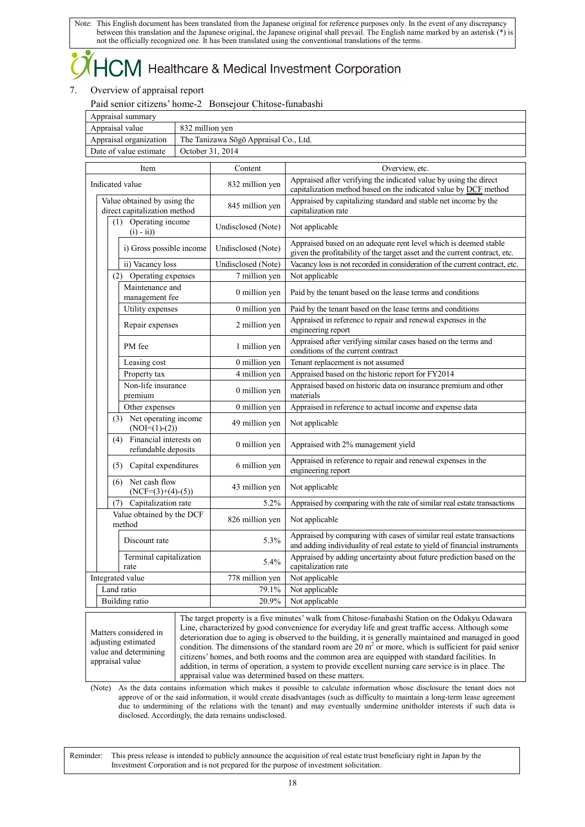## 

### 7. Overview of appraisal report

Paid senior citizens' home-2 Bonsejour Chitose-funabashi

| Appraisal summary                                                                        |                 |                                       |                                                                                                                                                                                                                                                                                                                                                                                                                                                                                                                             |  |
|------------------------------------------------------------------------------------------|-----------------|---------------------------------------|-----------------------------------------------------------------------------------------------------------------------------------------------------------------------------------------------------------------------------------------------------------------------------------------------------------------------------------------------------------------------------------------------------------------------------------------------------------------------------------------------------------------------------|--|
| Appraisal value                                                                          | 832 million yen |                                       |                                                                                                                                                                                                                                                                                                                                                                                                                                                                                                                             |  |
| Appraisal organization                                                                   |                 | The Tanizawa Sōgō Appraisal Co., Ltd. |                                                                                                                                                                                                                                                                                                                                                                                                                                                                                                                             |  |
| Date of value estimate<br>October 31, 2014                                               |                 |                                       |                                                                                                                                                                                                                                                                                                                                                                                                                                                                                                                             |  |
| Item                                                                                     |                 | Content                               | Overview, etc.                                                                                                                                                                                                                                                                                                                                                                                                                                                                                                              |  |
| Indicated value                                                                          |                 | 832 million yen                       | Appraised after verifying the indicated value by using the direct<br>capitalization method based on the indicated value by DCF method                                                                                                                                                                                                                                                                                                                                                                                       |  |
| Value obtained by using the<br>direct capitalization method                              |                 | 845 million yen                       | Appraised by capitalizing standard and stable net income by the<br>capitalization rate                                                                                                                                                                                                                                                                                                                                                                                                                                      |  |
| (1) Operating income<br>$(i) - ii)$                                                      |                 | Undisclosed (Note)                    | Not applicable                                                                                                                                                                                                                                                                                                                                                                                                                                                                                                              |  |
| i) Gross possible income                                                                 |                 | Undisclosed (Note)                    | Appraised based on an adequate rent level which is deemed stable<br>given the profitability of the target asset and the current contract, etc.                                                                                                                                                                                                                                                                                                                                                                              |  |
| ii) Vacancy loss                                                                         |                 | Undisclosed (Note)                    | Vacancy loss is not recorded in consideration of the current contract, etc.                                                                                                                                                                                                                                                                                                                                                                                                                                                 |  |
| (2) Operating expenses                                                                   |                 | 7 million yen                         | Not applicable                                                                                                                                                                                                                                                                                                                                                                                                                                                                                                              |  |
| Maintenance and<br>management fee                                                        |                 | 0 million yen                         | Paid by the tenant based on the lease terms and conditions                                                                                                                                                                                                                                                                                                                                                                                                                                                                  |  |
| Utility expenses                                                                         |                 | 0 million yen                         | Paid by the tenant based on the lease terms and conditions                                                                                                                                                                                                                                                                                                                                                                                                                                                                  |  |
| Repair expenses                                                                          |                 | 2 million yen                         | Appraised in reference to repair and renewal expenses in the<br>engineering report                                                                                                                                                                                                                                                                                                                                                                                                                                          |  |
| PM fee                                                                                   |                 | 1 million yen                         | Appraised after verifying similar cases based on the terms and<br>conditions of the current contract                                                                                                                                                                                                                                                                                                                                                                                                                        |  |
| Leasing cost                                                                             |                 | 0 million yen                         | Tenant replacement is not assumed                                                                                                                                                                                                                                                                                                                                                                                                                                                                                           |  |
| Property tax                                                                             |                 | 4 million yen                         | Appraised based on the historic report for FY2014                                                                                                                                                                                                                                                                                                                                                                                                                                                                           |  |
| Non-life insurance<br>premium                                                            |                 | 0 million yen                         | Appraised based on historic data on insurance premium and other<br>materials                                                                                                                                                                                                                                                                                                                                                                                                                                                |  |
| Other expenses                                                                           |                 | 0 million yen                         | Appraised in reference to actual income and expense data                                                                                                                                                                                                                                                                                                                                                                                                                                                                    |  |
| (3) Net operating income<br>$(NOI=(1)-(2))$                                              |                 | 49 million yen                        | Not applicable                                                                                                                                                                                                                                                                                                                                                                                                                                                                                                              |  |
| Financial interests on<br>(4)<br>refundable deposits                                     |                 | 0 million yen                         | Appraised with 2% management yield                                                                                                                                                                                                                                                                                                                                                                                                                                                                                          |  |
| (5) Capital expenditures                                                                 |                 | 6 million yen                         | Appraised in reference to repair and renewal expenses in the<br>engineering report                                                                                                                                                                                                                                                                                                                                                                                                                                          |  |
| Net cash flow<br>(6)<br>$(NCF=(3)+(4)-(5))$                                              |                 | 43 million yen                        | Not applicable                                                                                                                                                                                                                                                                                                                                                                                                                                                                                                              |  |
| Capitalization rate<br>(7)                                                               |                 | 5.2%                                  | Appraised by comparing with the rate of similar real estate transactions                                                                                                                                                                                                                                                                                                                                                                                                                                                    |  |
| Value obtained by the DCF<br>method                                                      |                 | 826 million yen                       | Not applicable                                                                                                                                                                                                                                                                                                                                                                                                                                                                                                              |  |
| Discount rate                                                                            |                 | 5.3%                                  | Appraised by comparing with cases of similar real estate transactions<br>and adding individuality of real estate to yield of financial instruments                                                                                                                                                                                                                                                                                                                                                                          |  |
| Terminal capitalization<br>rate                                                          |                 | 5.4%                                  | Appraised by adding uncertainty about future prediction based on the<br>capitalization rate                                                                                                                                                                                                                                                                                                                                                                                                                                 |  |
| Integrated value                                                                         |                 | $778$ million yen                     | Not applicable                                                                                                                                                                                                                                                                                                                                                                                                                                                                                                              |  |
| Land ratio                                                                               |                 | 79.1%                                 | Not applicable                                                                                                                                                                                                                                                                                                                                                                                                                                                                                                              |  |
| Building ratio                                                                           |                 | 20.9%                                 | Not applicable                                                                                                                                                                                                                                                                                                                                                                                                                                                                                                              |  |
| Matters considered in<br>adjusting estimated<br>value and determining<br>appraisal value |                 |                                       | The target property is a five minutes' walk from Chitose-funabashi Station on the Odakyu Odawara<br>Line, characterized by good convenience for everyday life and great traffic access. Although some<br>deterioration due to aging is observed to the building, it is generally maintained and managed in good<br>condition. The dimensions of the standard room are 20 $m2$ or more, which is sufficient for paid senior<br>citizens' homes, and both rooms and the common area are equipped with standard facilities. In |  |

appraisal value was determined based on these matters. (Note) As the data contains information which makes it possible to calculate information whose disclosure the tenant does not approve of or the said information, it would create disadvantages (such as difficulty to maintain a long-term lease agreement due to undermining of the relations with the tenant) and may eventually undermine unitholder interests if such data is disclosed. Accordingly, the data remains undisclosed.

addition, in terms of operation, a system to provide excellent nursing care service is in place. The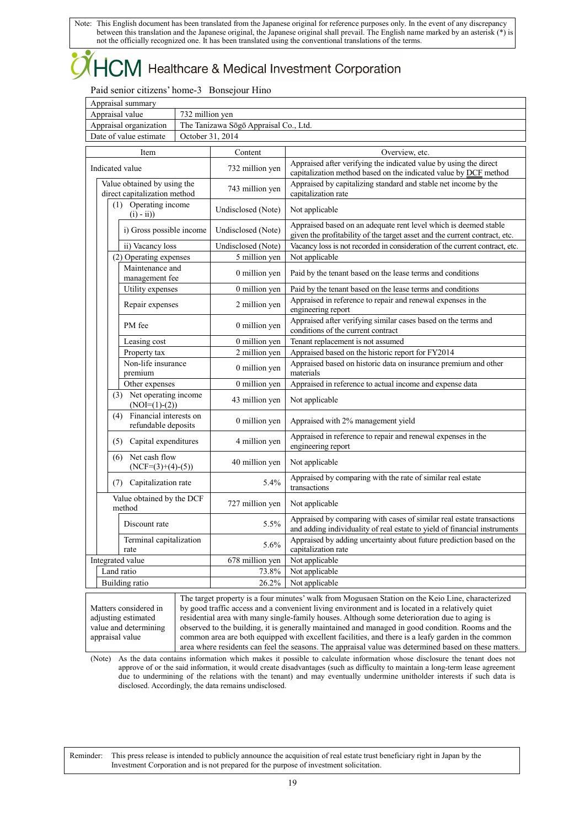## CM Healthcare & Medical Investment Corporation

Paid senior citizens' home-3 Bonsejour Hino

| Appraisal summary      |                                       |
|------------------------|---------------------------------------|
| Appraisal value        | 732 million ven                       |
| Appraisal organization | The Tanizawa Sōgō Appraisal Co., Ltd. |
| Date of value estimate | October 31, 2014                      |

| Item                                                                   | Content            | Overview, etc.                                                                                                                                     |
|------------------------------------------------------------------------|--------------------|----------------------------------------------------------------------------------------------------------------------------------------------------|
| Indicated value                                                        | 732 million yen    | Appraised after verifying the indicated value by using the direct<br>capitalization method based on the indicated value by DCF method              |
| Value obtained by using the<br>direct capitalization method            | 743 million yen    | Appraised by capitalizing standard and stable net income by the<br>capitalization rate                                                             |
| (1) Operating income<br>$(i) - ii)$                                    | Undisclosed (Note) | Not applicable                                                                                                                                     |
| i) Gross possible income                                               | Undisclosed (Note) | Appraised based on an adequate rent level which is deemed stable<br>given the profitability of the target asset and the current contract, etc.     |
| ii) Vacancy loss                                                       | Undisclosed (Note) | Vacancy loss is not recorded in consideration of the current contract, etc.                                                                        |
| (2) Operating expenses                                                 | 5 million yen      | Not applicable                                                                                                                                     |
| Maintenance and<br>management fee                                      | 0 million yen      | Paid by the tenant based on the lease terms and conditions                                                                                         |
| Utility expenses                                                       | 0 million yen      | Paid by the tenant based on the lease terms and conditions                                                                                         |
| Repair expenses                                                        | 2 million yen      | Appraised in reference to repair and renewal expenses in the<br>engineering report                                                                 |
| PM fee                                                                 | 0 million yen      | Appraised after verifying similar cases based on the terms and<br>conditions of the current contract                                               |
| Leasing cost                                                           | 0 million yen      | Tenant replacement is not assumed                                                                                                                  |
| Property tax                                                           | 2 million yen      | Appraised based on the historic report for FY2014                                                                                                  |
| Non-life insurance<br>premium                                          | 0 million yen      | Appraised based on historic data on insurance premium and other<br>materials                                                                       |
| Other expenses                                                         | 0 million yen      | Appraised in reference to actual income and expense data                                                                                           |
| (3) Net operating income<br>$(NOI=(1)-(2))$                            | 43 million yen     | Not applicable                                                                                                                                     |
| Financial interests on<br>(4)<br>refundable deposits                   | 0 million yen      | Appraised with 2% management yield                                                                                                                 |
| Capital expenditures<br>(5)                                            | 4 million yen      | Appraised in reference to repair and renewal expenses in the<br>engineering report                                                                 |
| Net cash flow<br>(6)<br>$(NCF=(3)+(4)-(5))$                            | 40 million yen     | Not applicable                                                                                                                                     |
| Capitalization rate<br>(7)                                             | 5.4%               | Appraised by comparing with the rate of similar real estate<br>transactions                                                                        |
| Value obtained by the DCF<br>method                                    | 727 million yen    | Not applicable                                                                                                                                     |
| Discount rate                                                          | 5.5%               | Appraised by comparing with cases of similar real estate transactions<br>and adding individuality of real estate to yield of financial instruments |
| Terminal capitalization<br>rate                                        | 5.6%               | Appraised by adding uncertainty about future prediction based on the<br>capitalization rate                                                        |
| Integrated value                                                       | 678 million yen    | Not applicable                                                                                                                                     |
| Land ratio                                                             | 73.8%              | Not applicable                                                                                                                                     |
| Building ratio                                                         | 26.2%              | Not applicable                                                                                                                                     |
| $M_{\rm{eff}}$ and $\sim$ $\sim$ $\sim$ $\sim$ $1.4$ and $\sim$ $\sim$ |                    | The target property is a four minutes' walk from Mogusaen Station on the Keio Line, characterized                                                  |

Matters considered in adjusting estimated value and determining appraisal value

by good traffic access and a convenient living environment and is located in a relatively quiet residential area with many single-family houses. Although some deterioration due to aging is observed to the building, it is generally maintained and managed in good condition. Rooms and the common area are both equipped with excellent facilities, and there is a leafy garden in the common area where residents can feel the seasons. The appraisal value was determined based on these matters.

(Note) As the data contains information which makes it possible to calculate information whose disclosure the tenant does not approve of or the said information, it would create disadvantages (such as difficulty to maintain a long-term lease agreement due to undermining of the relations with the tenant) and may eventually undermine unitholder interests if such data is disclosed. Accordingly, the data remains undisclosed.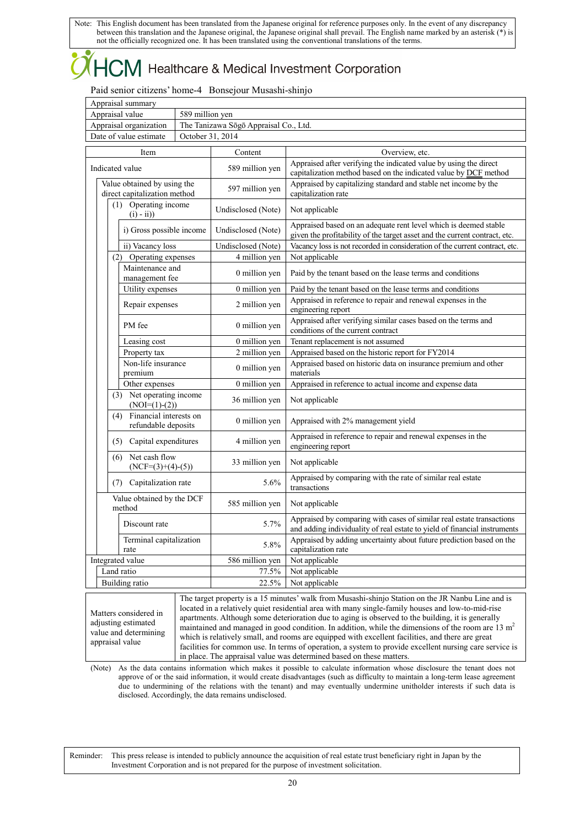## 

Paid senior citizens' home-4 Bonsejour Musashi-shinjo

| Appraisal summary      |                                       |
|------------------------|---------------------------------------|
| Appraisal value        | 589 million ven                       |
| Appraisal organization | The Tanizawa Sōgō Appraisal Co., Ltd. |
| Date of value estimate | October 31. 2014                      |

| Item                                                        | Content            | Overview, etc.                                                                                                                                                                                                                                                                                              |
|-------------------------------------------------------------|--------------------|-------------------------------------------------------------------------------------------------------------------------------------------------------------------------------------------------------------------------------------------------------------------------------------------------------------|
| Indicated value                                             | 589 million yen    | Appraised after verifying the indicated value by using the direct<br>capitalization method based on the indicated value by DCF method                                                                                                                                                                       |
| Value obtained by using the<br>direct capitalization method | 597 million yen    | Appraised by capitalizing standard and stable net income by the<br>capitalization rate                                                                                                                                                                                                                      |
| (1) Operating income<br>$(i) - ii)$                         | Undisclosed (Note) | Not applicable                                                                                                                                                                                                                                                                                              |
| i) Gross possible income                                    | Undisclosed (Note) | Appraised based on an adequate rent level which is deemed stable<br>given the profitability of the target asset and the current contract, etc.                                                                                                                                                              |
| ii) Vacancy loss                                            | Undisclosed (Note) | Vacancy loss is not recorded in consideration of the current contract, etc.                                                                                                                                                                                                                                 |
| (2) Operating expenses                                      | 4 million yen      | Not applicable                                                                                                                                                                                                                                                                                              |
| Maintenance and<br>management fee                           | 0 million yen      | Paid by the tenant based on the lease terms and conditions                                                                                                                                                                                                                                                  |
| Utility expenses                                            | 0 million yen      | Paid by the tenant based on the lease terms and conditions                                                                                                                                                                                                                                                  |
| Repair expenses                                             | 2 million yen      | Appraised in reference to repair and renewal expenses in the<br>engineering report                                                                                                                                                                                                                          |
| PM fee                                                      | 0 million yen      | Appraised after verifying similar cases based on the terms and<br>conditions of the current contract                                                                                                                                                                                                        |
| Leasing cost                                                | 0 million yen      | Tenant replacement is not assumed                                                                                                                                                                                                                                                                           |
| Property tax                                                | 2 million yen      | Appraised based on the historic report for FY2014                                                                                                                                                                                                                                                           |
| Non-life insurance<br>premium                               | 0 million yen      | Appraised based on historic data on insurance premium and other<br>materials                                                                                                                                                                                                                                |
| Other expenses                                              | 0 million yen      | Appraised in reference to actual income and expense data                                                                                                                                                                                                                                                    |
| (3) Net operating income<br>$(NOI=(1)-(2))$                 | 36 million yen     | Not applicable                                                                                                                                                                                                                                                                                              |
| Financial interests on<br>(4)<br>refundable deposits        | 0 million yen      | Appraised with 2% management yield                                                                                                                                                                                                                                                                          |
| (5) Capital expenditures                                    | 4 million yen      | Appraised in reference to repair and renewal expenses in the<br>engineering report                                                                                                                                                                                                                          |
| Net cash flow<br>(6)<br>$(NCF=(3)+(4)-(5))$                 | 33 million yen     | Not applicable                                                                                                                                                                                                                                                                                              |
| Capitalization rate<br>(7)                                  | 5.6%               | Appraised by comparing with the rate of similar real estate<br>transactions                                                                                                                                                                                                                                 |
| Value obtained by the DCF<br>method                         | 585 million yen    | Not applicable                                                                                                                                                                                                                                                                                              |
| Discount rate                                               | 5.7%               | Appraised by comparing with cases of similar real estate transactions<br>and adding individuality of real estate to yield of financial instruments                                                                                                                                                          |
| Terminal capitalization<br>rate                             | 5.8%               | Appraised by adding uncertainty about future prediction based on the<br>capitalization rate                                                                                                                                                                                                                 |
| Integrated value                                            | 586 million yen    | Not applicable                                                                                                                                                                                                                                                                                              |
| Land ratio                                                  | 77.5%              | Not applicable                                                                                                                                                                                                                                                                                              |
| Building ratio                                              | 22.5%              | Not applicable                                                                                                                                                                                                                                                                                              |
| Matters considered in<br>adjusting estimated                |                    | The target property is a 15 minutes' walk from Musashi-shinjo Station on the JR Nanbu Line and is<br>located in a relatively quiet residential area with many single-family houses and low-to-mid-rise<br>apartments. Although some deterioration due to aging is observed to the building, it is generally |

maintained and managed in good condition. In addition, while the dimensions of the room are  $13 \text{ m}^2$ which is relatively small, and rooms are equipped with excellent facilities, and there are great facilities for common use. In terms of operation, a system to provide excellent nursing care service is in place. The appraisal value was determined based on these matters.

(Note) As the data contains information which makes it possible to calculate information whose disclosure the tenant does not approve of or the said information, it would create disadvantages (such as difficulty to maintain a long-term lease agreement due to undermining of the relations with the tenant) and may eventually undermine unitholder interests if such data is disclosed. Accordingly, the data remains undisclosed.

Reminder: This press release is intended to publicly announce the acquisition of real estate trust beneficiary right in Japan by the Investment Corporation and is not prepared for the purpose of investment solicitation.

value and determining appraisal value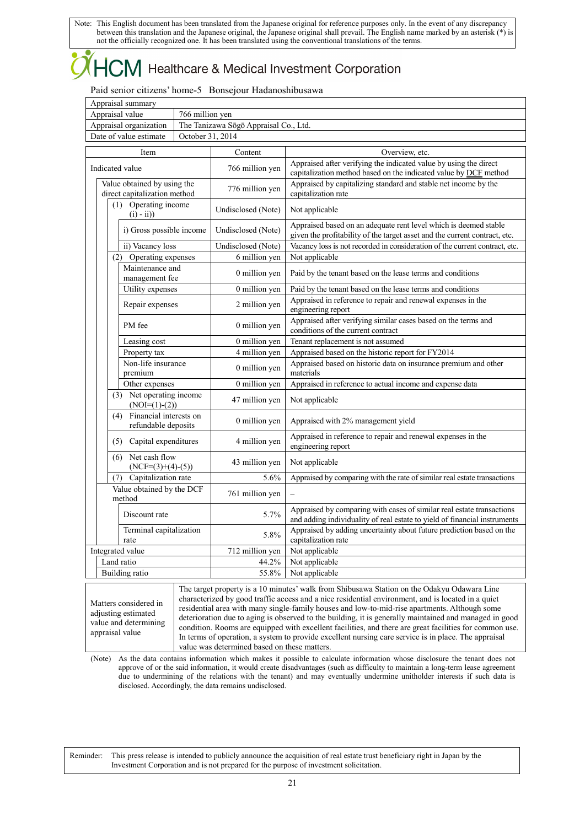## $\mathsf{CM}$  Healthcare & Medical Investment Corporation

Paid senior citizens' home-5 Bonsejour Hadanoshibusawa

| Appraisal summary      |                                       |
|------------------------|---------------------------------------|
| Appraisal value        | 766 million yen                       |
| Appraisal organization | The Tanizawa Sōgō Appraisal Co., Ltd. |
| Date of value estimate | October 31, 2014                      |

| Item                                                        | Content            | Overview, etc.                                                                                                                                                                                                                                                                                     |
|-------------------------------------------------------------|--------------------|----------------------------------------------------------------------------------------------------------------------------------------------------------------------------------------------------------------------------------------------------------------------------------------------------|
| Indicated value                                             | 766 million yen    | Appraised after verifying the indicated value by using the direct<br>capitalization method based on the indicated value by DCF method                                                                                                                                                              |
| Value obtained by using the<br>direct capitalization method | 776 million yen    | Appraised by capitalizing standard and stable net income by the<br>capitalization rate                                                                                                                                                                                                             |
| (1) Operating income<br>$(i) - ii)$                         | Undisclosed (Note) | Not applicable                                                                                                                                                                                                                                                                                     |
| i) Gross possible income                                    | Undisclosed (Note) | Appraised based on an adequate rent level which is deemed stable<br>given the profitability of the target asset and the current contract, etc.                                                                                                                                                     |
| ii) Vacancy loss                                            | Undisclosed (Note) | Vacancy loss is not recorded in consideration of the current contract, etc.                                                                                                                                                                                                                        |
| (2) Operating expenses                                      | 6 million yen      | Not applicable                                                                                                                                                                                                                                                                                     |
| Maintenance and<br>management fee                           | 0 million yen      | Paid by the tenant based on the lease terms and conditions                                                                                                                                                                                                                                         |
| Utility expenses                                            | 0 million yen      | Paid by the tenant based on the lease terms and conditions                                                                                                                                                                                                                                         |
| Repair expenses                                             | 2 million yen      | Appraised in reference to repair and renewal expenses in the<br>engineering report                                                                                                                                                                                                                 |
| PM fee                                                      | 0 million yen      | Appraised after verifying similar cases based on the terms and<br>conditions of the current contract                                                                                                                                                                                               |
| Leasing cost                                                | 0 million yen      | Tenant replacement is not assumed                                                                                                                                                                                                                                                                  |
| Property tax                                                | 4 million yen      | Appraised based on the historic report for FY2014                                                                                                                                                                                                                                                  |
| Non-life insurance<br>premium                               | 0 million yen      | Appraised based on historic data on insurance premium and other<br>materials                                                                                                                                                                                                                       |
| Other expenses                                              | 0 million yen      | Appraised in reference to actual income and expense data                                                                                                                                                                                                                                           |
| (3) Net operating income<br>$(NOI=(1)-(2))$                 | 47 million yen     | Not applicable                                                                                                                                                                                                                                                                                     |
| Financial interests on<br>(4)<br>refundable deposits        | 0 million yen      | Appraised with 2% management yield                                                                                                                                                                                                                                                                 |
| Capital expenditures<br>(5)                                 | 4 million yen      | Appraised in reference to repair and renewal expenses in the<br>engineering report                                                                                                                                                                                                                 |
| Net cash flow<br>(6)<br>$(NCF=(3)+(4)-(5))$                 | 43 million yen     | Not applicable                                                                                                                                                                                                                                                                                     |
| (7)<br>Capitalization rate                                  | 5.6%               | Appraised by comparing with the rate of similar real estate transactions                                                                                                                                                                                                                           |
| Value obtained by the DCF<br>method                         | 761 million yen    |                                                                                                                                                                                                                                                                                                    |
| Discount rate                                               | 5.7%               | Appraised by comparing with cases of similar real estate transactions<br>and adding individuality of real estate to yield of financial instruments                                                                                                                                                 |
| Terminal capitalization<br>rate                             | 5.8%               | Appraised by adding uncertainty about future prediction based on the<br>capitalization rate                                                                                                                                                                                                        |
| Integrated value                                            | 712 million yen    | Not applicable                                                                                                                                                                                                                                                                                     |
| Land ratio                                                  | 44.2%              | Not applicable                                                                                                                                                                                                                                                                                     |
| <b>Building</b> ratio                                       | 55.8%              | Not applicable                                                                                                                                                                                                                                                                                     |
| Matters considered in                                       |                    | The target property is a 10 minutes' walk from Shibusawa Station on the Odakyu Odawara Line<br>characterized by good traffic access and a nice residential environment, and is located in a quiet<br>residential area with many single-family houses and low-to-mid-rise anartments. Although some |

adjusting estimated value and determining appraisal value

residential area with many single-family houses and low-to-mid-rise apartments. Although some deterioration due to aging is observed to the building, it is generally maintained and managed in good condition. Rooms are equipped with excellent facilities, and there are great facilities for common use. In terms of operation, a system to provide excellent nursing care service is in place. The appraisal value was determined based on these matters.

(Note) As the data contains information which makes it possible to calculate information whose disclosure the tenant does not approve of or the said information, it would create disadvantages (such as difficulty to maintain a long-term lease agreement due to undermining of the relations with the tenant) and may eventually undermine unitholder interests if such data is disclosed. Accordingly, the data remains undisclosed.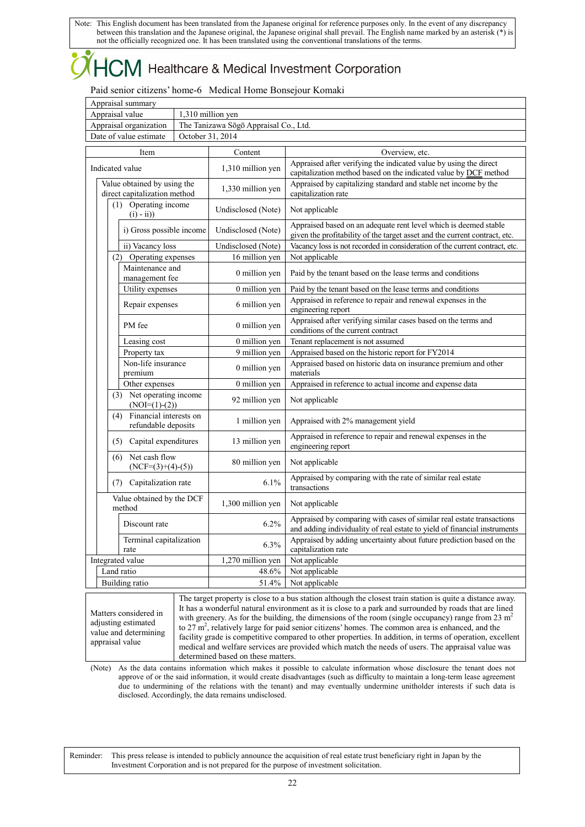## CM Healthcare & Medical Investment Corporation

Paid senior citizens' home-6 Medical Home Bonsejour Komaki

| Appraisal summary      |                                       |
|------------------------|---------------------------------------|
| Appraisal value        | .310 million ven                      |
| Appraisal organization | The Tanizawa Sōgō Appraisal Co., Ltd. |
| Date of value estimate | October 31, 2014                      |

| Item                                                                                     | Content            | Overview, etc.                                                                                                                                                                                                                                                                                                                                                                                                                                                                                                                                                                                                                                                 |
|------------------------------------------------------------------------------------------|--------------------|----------------------------------------------------------------------------------------------------------------------------------------------------------------------------------------------------------------------------------------------------------------------------------------------------------------------------------------------------------------------------------------------------------------------------------------------------------------------------------------------------------------------------------------------------------------------------------------------------------------------------------------------------------------|
| Indicated value                                                                          | 1,310 million yen  | Appraised after verifying the indicated value by using the direct<br>capitalization method based on the indicated value by DCF method                                                                                                                                                                                                                                                                                                                                                                                                                                                                                                                          |
| Value obtained by using the<br>direct capitalization method                              | 1,330 million yen  | Appraised by capitalizing standard and stable net income by the<br>capitalization rate                                                                                                                                                                                                                                                                                                                                                                                                                                                                                                                                                                         |
| (1) Operating income<br>$(i) - ii)$                                                      | Undisclosed (Note) | Not applicable                                                                                                                                                                                                                                                                                                                                                                                                                                                                                                                                                                                                                                                 |
| i) Gross possible income                                                                 | Undisclosed (Note) | Appraised based on an adequate rent level which is deemed stable<br>given the profitability of the target asset and the current contract, etc.                                                                                                                                                                                                                                                                                                                                                                                                                                                                                                                 |
| ii) Vacancy loss                                                                         | Undisclosed (Note) | Vacancy loss is not recorded in consideration of the current contract, etc.                                                                                                                                                                                                                                                                                                                                                                                                                                                                                                                                                                                    |
| (2) Operating expenses                                                                   | 16 million yen     | Not applicable                                                                                                                                                                                                                                                                                                                                                                                                                                                                                                                                                                                                                                                 |
| Maintenance and<br>management fee                                                        | 0 million yen      | Paid by the tenant based on the lease terms and conditions                                                                                                                                                                                                                                                                                                                                                                                                                                                                                                                                                                                                     |
| Utility expenses                                                                         | 0 million yen      | Paid by the tenant based on the lease terms and conditions                                                                                                                                                                                                                                                                                                                                                                                                                                                                                                                                                                                                     |
| Repair expenses                                                                          | 6 million yen      | Appraised in reference to repair and renewal expenses in the<br>engineering report                                                                                                                                                                                                                                                                                                                                                                                                                                                                                                                                                                             |
| PM fee                                                                                   | 0 million yen      | Appraised after verifying similar cases based on the terms and<br>conditions of the current contract                                                                                                                                                                                                                                                                                                                                                                                                                                                                                                                                                           |
| Leasing cost                                                                             | 0 million yen      | Tenant replacement is not assumed                                                                                                                                                                                                                                                                                                                                                                                                                                                                                                                                                                                                                              |
| Property tax                                                                             | 9 million yen      | Appraised based on the historic report for FY2014                                                                                                                                                                                                                                                                                                                                                                                                                                                                                                                                                                                                              |
| Non-life insurance<br>premium                                                            | 0 million yen      | Appraised based on historic data on insurance premium and other<br>materials                                                                                                                                                                                                                                                                                                                                                                                                                                                                                                                                                                                   |
| Other expenses                                                                           | 0 million yen      | Appraised in reference to actual income and expense data                                                                                                                                                                                                                                                                                                                                                                                                                                                                                                                                                                                                       |
| (3) Net operating income<br>$(NOI=(1)-(2))$                                              | 92 million yen     | Not applicable                                                                                                                                                                                                                                                                                                                                                                                                                                                                                                                                                                                                                                                 |
| Financial interests on<br>(4)<br>refundable deposits                                     | 1 million yen      | Appraised with 2% management yield                                                                                                                                                                                                                                                                                                                                                                                                                                                                                                                                                                                                                             |
| Capital expenditures<br>(5)                                                              | 13 million yen     | Appraised in reference to repair and renewal expenses in the<br>engineering report                                                                                                                                                                                                                                                                                                                                                                                                                                                                                                                                                                             |
| Net cash flow<br>(6)<br>$(NCF=(3)+(4)-(5))$                                              | 80 million yen     | Not applicable                                                                                                                                                                                                                                                                                                                                                                                                                                                                                                                                                                                                                                                 |
| Capitalization rate<br>(7)                                                               | 6.1%               | Appraised by comparing with the rate of similar real estate<br>transactions                                                                                                                                                                                                                                                                                                                                                                                                                                                                                                                                                                                    |
| Value obtained by the DCF<br>method                                                      | 1,300 million yen  | Not applicable                                                                                                                                                                                                                                                                                                                                                                                                                                                                                                                                                                                                                                                 |
| Discount rate                                                                            | $6.2\%$            | Appraised by comparing with cases of similar real estate transactions<br>and adding individuality of real estate to yield of financial instruments                                                                                                                                                                                                                                                                                                                                                                                                                                                                                                             |
| Terminal capitalization<br>rate                                                          | 6.3%               | Appraised by adding uncertainty about future prediction based on the<br>capitalization rate                                                                                                                                                                                                                                                                                                                                                                                                                                                                                                                                                                    |
| Integrated value                                                                         | 1,270 million yen  | Not applicable                                                                                                                                                                                                                                                                                                                                                                                                                                                                                                                                                                                                                                                 |
| Land ratio                                                                               | 48.6%              | Not applicable                                                                                                                                                                                                                                                                                                                                                                                                                                                                                                                                                                                                                                                 |
| <b>Building</b> ratio                                                                    | 51.4%              | Not applicable                                                                                                                                                                                                                                                                                                                                                                                                                                                                                                                                                                                                                                                 |
| Matters considered in<br>adjusting estimated<br>value and determining<br>appraisal value |                    | The target property is close to a bus station although the closest train station is quite a distance away.<br>It has a wonderful natural environment as it is close to a park and surrounded by roads that are lined<br>with greenery. As for the building, the dimensions of the room (single occupancy) range from 23 $m2$<br>to $27 \text{ m}^2$ , relatively large for paid senior citizens' homes. The common area is enhanced, and the<br>facility grade is competitive compared to other properties. In addition, in terms of operation, excellent<br>medical and welfare services are provided which match the needs of users. The appraisal value was |

(Note) As the data contains information which makes it possible to calculate information whose disclosure the tenant does not approve of or the said information, it would create disadvantages (such as difficulty to maintain a long-term lease agreement due to undermining of the relations with the tenant) and may eventually undermine unitholder interests if such data is disclosed. Accordingly, the data remains undisclosed.

Reminder: This press release is intended to publicly announce the acquisition of real estate trust beneficiary right in Japan by the Investment Corporation and is not prepared for the purpose of investment solicitation.

determined based on these matters.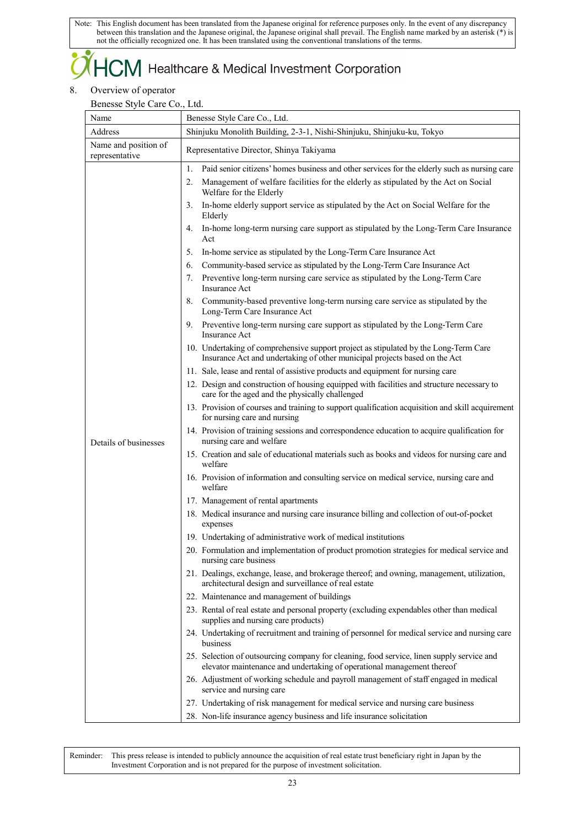## $+C\!M$  Healthcare & Medical Investment Corporation

### 8. Overview of operator

Benesse Style Care Co., Ltd.

| Address<br>Name and position of<br>representative<br>1.<br>2. | Shinjuku Monolith Building, 2-3-1, Nishi-Shinjuku, Shinjuku-ku, Tokyo<br>Representative Director, Shinya Takiyama<br>Paid senior citizens' homes business and other services for the elderly such as nursing care<br>Management of welfare facilities for the elderly as stipulated by the Act on Social<br>Welfare for the Elderly<br>In-home elderly support service as stipulated by the Act on Social Welfare for the                                                                                                                                                                                                                                                                                                                                                                                                                                                                                                                                                                                                                                                                                                                                                                                                                                                                                                                                                                                                                                                                                                                                                                                                                                                                                                                                                                                                                                                                                                                                                                                                                                                                                                                                                                                                                                                                                                                                                                                                                                                                                                                                                                                                                                                    |
|---------------------------------------------------------------|------------------------------------------------------------------------------------------------------------------------------------------------------------------------------------------------------------------------------------------------------------------------------------------------------------------------------------------------------------------------------------------------------------------------------------------------------------------------------------------------------------------------------------------------------------------------------------------------------------------------------------------------------------------------------------------------------------------------------------------------------------------------------------------------------------------------------------------------------------------------------------------------------------------------------------------------------------------------------------------------------------------------------------------------------------------------------------------------------------------------------------------------------------------------------------------------------------------------------------------------------------------------------------------------------------------------------------------------------------------------------------------------------------------------------------------------------------------------------------------------------------------------------------------------------------------------------------------------------------------------------------------------------------------------------------------------------------------------------------------------------------------------------------------------------------------------------------------------------------------------------------------------------------------------------------------------------------------------------------------------------------------------------------------------------------------------------------------------------------------------------------------------------------------------------------------------------------------------------------------------------------------------------------------------------------------------------------------------------------------------------------------------------------------------------------------------------------------------------------------------------------------------------------------------------------------------------------------------------------------------------------------------------------------------------|
|                                                               |                                                                                                                                                                                                                                                                                                                                                                                                                                                                                                                                                                                                                                                                                                                                                                                                                                                                                                                                                                                                                                                                                                                                                                                                                                                                                                                                                                                                                                                                                                                                                                                                                                                                                                                                                                                                                                                                                                                                                                                                                                                                                                                                                                                                                                                                                                                                                                                                                                                                                                                                                                                                                                                                              |
|                                                               |                                                                                                                                                                                                                                                                                                                                                                                                                                                                                                                                                                                                                                                                                                                                                                                                                                                                                                                                                                                                                                                                                                                                                                                                                                                                                                                                                                                                                                                                                                                                                                                                                                                                                                                                                                                                                                                                                                                                                                                                                                                                                                                                                                                                                                                                                                                                                                                                                                                                                                                                                                                                                                                                              |
| 3.<br>4.<br>5.<br>6.<br>7.<br>Details of businesses           | Elderly<br>In-home long-term nursing care support as stipulated by the Long-Term Care Insurance<br>Act<br>In-home service as stipulated by the Long-Term Care Insurance Act<br>Community-based service as stipulated by the Long-Term Care Insurance Act<br>Preventive long-term nursing care service as stipulated by the Long-Term Care<br><b>Insurance Act</b><br>8. Community-based preventive long-term nursing care service as stipulated by the<br>Long-Term Care Insurance Act<br>9. Preventive long-term nursing care support as stipulated by the Long-Term Care<br><b>Insurance Act</b><br>10. Undertaking of comprehensive support project as stipulated by the Long-Term Care<br>Insurance Act and undertaking of other municipal projects based on the Act<br>11. Sale, lease and rental of assistive products and equipment for nursing care<br>12. Design and construction of housing equipped with facilities and structure necessary to<br>care for the aged and the physically challenged<br>13. Provision of courses and training to support qualification acquisition and skill acquirement<br>for nursing care and nursing<br>14. Provision of training sessions and correspondence education to acquire qualification for<br>nursing care and welfare<br>15. Creation and sale of educational materials such as books and videos for nursing care and<br>welfare<br>16. Provision of information and consulting service on medical service, nursing care and<br>welfare<br>17. Management of rental apartments<br>18. Medical insurance and nursing care insurance billing and collection of out-of-pocket<br>expenses<br>19. Undertaking of administrative work of medical institutions<br>20. Formulation and implementation of product promotion strategies for medical service and<br>nursing care business<br>21. Dealings, exchange, lease, and brokerage thereof; and owning, management, utilization,<br>architectural design and surveillance of real estate<br>22. Maintenance and management of buildings<br>23. Rental of real estate and personal property (excluding expendables other than medical<br>supplies and nursing care products)<br>24. Undertaking of recruitment and training of personnel for medical service and nursing care<br>business<br>25. Selection of outsourcing company for cleaning, food service, linen supply service and<br>elevator maintenance and undertaking of operational management thereof<br>26. Adjustment of working schedule and payroll management of staff engaged in medical<br>service and nursing care<br>27. Undertaking of risk management for medical service and nursing care business |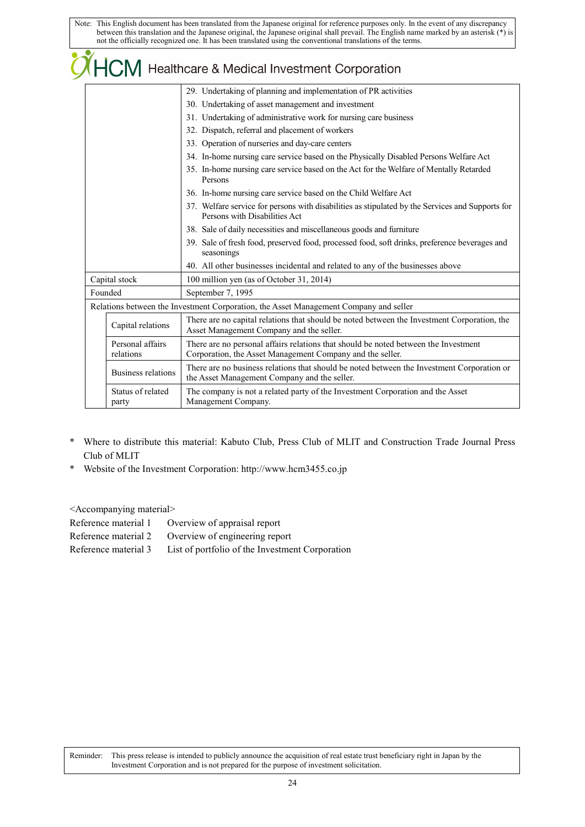|                               | $\widetilde{O}$ $\overline{H}$ CM Healthcare & Medical Investment Corporation                                                                    |  |  |  |  |  |  |
|-------------------------------|--------------------------------------------------------------------------------------------------------------------------------------------------|--|--|--|--|--|--|
|                               | 29. Undertaking of planning and implementation of PR activities                                                                                  |  |  |  |  |  |  |
|                               | 30. Undertaking of asset management and investment                                                                                               |  |  |  |  |  |  |
|                               | 31. Undertaking of administrative work for nursing care business                                                                                 |  |  |  |  |  |  |
|                               | 32. Dispatch, referral and placement of workers                                                                                                  |  |  |  |  |  |  |
|                               | 33. Operation of nurseries and day-care centers                                                                                                  |  |  |  |  |  |  |
|                               | 34. In-home nursing care service based on the Physically Disabled Persons Welfare Act                                                            |  |  |  |  |  |  |
|                               | 35. In-home nursing care service based on the Act for the Welfare of Mentally Retarded<br>Persons                                                |  |  |  |  |  |  |
|                               | 36. In-home nursing care service based on the Child Welfare Act                                                                                  |  |  |  |  |  |  |
|                               | 37. Welfare service for persons with disabilities as stipulated by the Services and Supports for<br>Persons with Disabilities Act                |  |  |  |  |  |  |
|                               | 38. Sale of daily necessities and miscellaneous goods and furniture                                                                              |  |  |  |  |  |  |
|                               | 39. Sale of fresh food, preserved food, processed food, soft drinks, preference beverages and<br>seasonings                                      |  |  |  |  |  |  |
|                               | 40. All other businesses incidental and related to any of the businesses above                                                                   |  |  |  |  |  |  |
| Capital stock                 | 100 million yen (as of October 31, 2014)                                                                                                         |  |  |  |  |  |  |
| Founded                       | September 7, 1995                                                                                                                                |  |  |  |  |  |  |
|                               | Relations between the Investment Corporation, the Asset Management Company and seller                                                            |  |  |  |  |  |  |
| Capital relations             | There are no capital relations that should be noted between the Investment Corporation, the<br>Asset Management Company and the seller.          |  |  |  |  |  |  |
| Personal affairs<br>relations | There are no personal affairs relations that should be noted between the Investment<br>Corporation, the Asset Management Company and the seller. |  |  |  |  |  |  |
| Business relations            | There are no business relations that should be noted between the Investment Corporation or<br>the Asset Management Company and the seller.       |  |  |  |  |  |  |
| Status of related<br>party    | The company is not a related party of the Investment Corporation and the Asset<br>Management Company.                                            |  |  |  |  |  |  |

- \* Where to distribute this material: Kabuto Club, Press Club of MLIT and Construction Trade Journal Press Club of MLIT
- \* Website of the Investment Corporation: http://www.hcm3455.co.jp

<Accompanying material>

| Reference material 1 | Overview of appraisal report                        |
|----------------------|-----------------------------------------------------|
|                      | Reference material 2 Overview of engineering report |
| Reference material 3 | List of portfolio of the Investment Corporation     |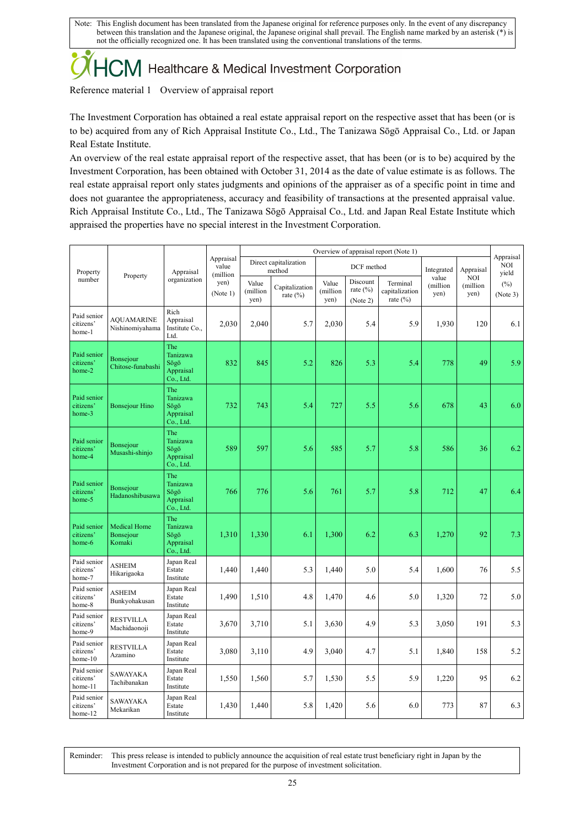# $\sum$ M Healthcare & Medical Investment Corporation

Reference material 1 Overview of appraisal report

The Investment Corporation has obtained a real estate appraisal report on the respective asset that has been (or is to be) acquired from any of Rich Appraisal Institute Co., Ltd., The Tanizawa Sōgō Appraisal Co., Ltd. or Japan Real Estate Institute.

An overview of the real estate appraisal report of the respective asset, that has been (or is to be) acquired by the Investment Corporation, has been obtained with October 31, 2014 as the date of value estimate is as follows. The real estate appraisal report only states judgments and opinions of the appraiser as of a specific point in time and does not guarantee the appropriateness, accuracy and feasibility of transactions at the presented appraisal value. Rich Appraisal Institute Co., Ltd., The Tanizawa Sōgō Appraisal Co., Ltd. and Japan Real Estate Institute which appraised the properties have no special interest in the Investment Corporation.

|                                       | Property                                          | Appraisal<br>organization                         | Appraisal<br>value<br>(million | Overview of appraisal report (Note 1) |                                |                           |                                     |                                            |                           |                                | Appraisal           |
|---------------------------------------|---------------------------------------------------|---------------------------------------------------|--------------------------------|---------------------------------------|--------------------------------|---------------------------|-------------------------------------|--------------------------------------------|---------------------------|--------------------------------|---------------------|
| Property<br>number                    |                                                   |                                                   |                                | Direct capitalization<br>method       |                                | DCF method                |                                     |                                            | Integrated                | Appraisal                      | <b>NOI</b><br>yield |
|                                       |                                                   |                                                   | yen)<br>(Note 1)               | Value<br>(million<br>yen)             | Capitalization<br>rate $(\% )$ | Value<br>(million<br>yen) | Discount<br>rate $(\%)$<br>(Note 2) | Terminal<br>capitalization<br>rate $(\% )$ | value<br>(million<br>yen) | <b>NOI</b><br>(million<br>yen) | $(\%)$<br>(Note 3)  |
| Paid senior<br>citizens'<br>home-1    | <b>AQUAMARINE</b><br>Nishinomiyahama              | Rich<br>Appraisal<br>Institute Co.,<br>Ltd.       | 2,030                          | 2,040                                 | 5.7                            | 2,030                     | 5.4                                 | 5.9                                        | 1,930                     | 120                            | 6.1                 |
| Paid senior<br>citizens'<br>home-2    | Bonsejour<br>Chitose-funabashi                    | The<br>Tanizawa<br>Sōgō<br>Appraisal<br>Co., Ltd. | 832                            | 845                                   | 5.2                            | 826                       | 5.3                                 | 5.4                                        | 778                       | 49                             | 5.9                 |
| Paid senior<br>citizens'<br>home-3    | <b>Bonsejour Hino</b>                             | The<br>Tanizawa<br>Sōgō<br>Appraisal<br>Co., Ltd. | 732                            | 743                                   | 5.4                            | 727                       | 5.5                                 | 5.6                                        | 678                       | 43                             | 6.0                 |
| Paid senior<br>citizens'<br>home-4    | Bonsejour<br>Musashi-shinjo                       | The<br>Tanizawa<br>Sōgō<br>Appraisal<br>Co., Ltd. | 589                            | 597                                   | 5.6                            | 585                       | 5.7                                 | 5.8                                        | 586                       | 36                             | 6.2                 |
| Paid senior<br>citizens'<br>home-5    | <b>Bonsejour</b><br>Hadanoshibusawa               | The<br>Tanizawa<br>Sōgō<br>Appraisal<br>Co., Ltd. | 766                            | 776                                   | 5.6                            | 761                       | 5.7                                 | 5.8                                        | 712                       | 47                             | 6.4                 |
| Paid senior<br>citizens'<br>home-6    | <b>Medical Home</b><br><b>Bonsejour</b><br>Komaki | The<br>Tanizawa<br>Sōgō<br>Appraisal<br>Co., Ltd. | 1,310                          | 1,330                                 | 6.1                            | 1,300                     | 6.2                                 | 6.3                                        | 1,270                     | 92                             | 7.3                 |
| Paid senior<br>citizens'<br>home-7    | <b>ASHEIM</b><br>Hikarigaoka                      | Japan Real<br>Estate<br>Institute                 | 1,440                          | 1,440                                 | 5.3                            | 1,440                     | 5.0                                 | 5.4                                        | 1,600                     | 76                             | 5.5                 |
| Paid senior<br>citizens'<br>home-8    | <b>ASHEIM</b><br>Bunkyohakusan                    | Japan Real<br>Estate<br>Institute                 | 1,490                          | 1,510                                 | 4.8                            | 1,470                     | 4.6                                 | 5.0                                        | 1,320                     | 72                             | 5.0                 |
| Paid senior<br>citizens'<br>home-9    | <b>RESTVILLA</b><br>Machidaonoji                  | Japan Real<br>Estate<br>Institute                 | 3,670                          | 3,710                                 | 5.1                            | 3,630                     | 4.9                                 | 5.3                                        | 3,050                     | 191                            | 5.3                 |
| Paid senior<br>citizens'<br>$home-10$ | <b>RESTVILLA</b><br>Azamino                       | Japan Real<br>Estate<br>Institute                 | 3,080                          | 3,110                                 | 4.9                            | 3,040                     | 4.7                                 | 5.1                                        | 1,840                     | 158                            | 5.2                 |
| Paid senior<br>citizens'<br>home-11   | <b>SAWAYAKA</b><br>Tachibanakan                   | Japan Real<br>Estate<br>Institute                 | 1,550                          | 1,560                                 | 5.7                            | 1,530                     | 5.5                                 | 5.9                                        | 1,220                     | 95                             | 6.2                 |
| Paid senior<br>citizens'<br>home-12   | <b>SAWAYAKA</b><br>Mekarikan                      | Japan Real<br>Estate<br>Institute                 | 1,430                          | 1,440                                 | 5.8                            | 1,420                     | 5.6                                 | 6.0                                        | 773                       | 87                             | 6.3                 |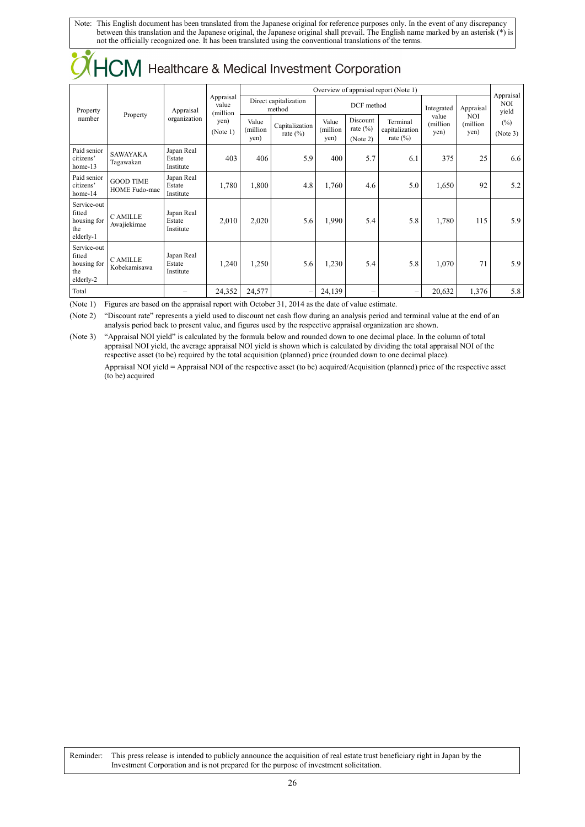| <b>710 IVIII</b>                                         |                                   |                                   |                                                    |                                       |                               |                            |                                      |                                           |                           |                          |                                  |
|----------------------------------------------------------|-----------------------------------|-----------------------------------|----------------------------------------------------|---------------------------------------|-------------------------------|----------------------------|--------------------------------------|-------------------------------------------|---------------------------|--------------------------|----------------------------------|
|                                                          |                                   |                                   |                                                    | Overview of appraisal report (Note 1) |                               |                            |                                      |                                           |                           |                          |                                  |
| Property<br>number                                       | Property                          | Appraisal<br>organization         | Appraisal<br>value<br>(million<br>yen)<br>(Note 1) | Direct capitalization<br>method       |                               | DCF method                 |                                      |                                           | Integrated                | Appraisal                | Appraisal<br><b>NOI</b><br>yield |
|                                                          |                                   |                                   |                                                    | Value<br>(million<br>yen)             | Capitalization<br>rate $(\%)$ | Value<br>(million)<br>yen) | Discount<br>rate $(\% )$<br>(Note 2) | Terminal<br>capitalization<br>rate $(\%)$ | value<br>(million<br>yen) | NOI<br>(million)<br>yen) | $(\%)$<br>(Note 3)               |
| Paid senior<br>citizens'<br>home-13                      | <b>SAWAYAKA</b><br>Tagawakan      | Japan Real<br>Estate<br>Institute | 403                                                | 406                                   | 5.9                           | 400                        | 5.7                                  | 6.1                                       | 375                       | 25                       | 6.6                              |
| Paid senior<br>citizens'<br>home-14                      | <b>GOOD TIME</b><br>HOME Fudo-mae | Japan Real<br>Estate<br>Institute | 1,780                                              | 1,800                                 | 4.8                           | 1,760                      | 4.6                                  | 5.0                                       | 1,650                     | 92                       | 5.2                              |
| Service-out<br>fitted<br>housing for<br>the<br>elderly-1 | <b>CAMILLE</b><br>Awajiekimae     | Japan Real<br>Estate<br>Institute | 2,010                                              | 2,020                                 | 5.6                           | 1,990                      | 5.4                                  | 5.8                                       | 1,780                     | 115                      | 5.9                              |
| Service-out<br>fitted<br>housing for<br>the<br>elderly-2 | <b>CAMILLE</b><br>Kobekamisawa    | Japan Real<br>Estate<br>Institute | 1,240                                              | 1,250                                 | 5.6                           | 1,230                      | 5.4                                  | 5.8                                       | 1,070                     | 71                       | 5.9                              |
| Total                                                    |                                   |                                   | 24,352                                             | 24,577                                | -                             | 24,139                     | $\overline{\phantom{0}}$             | -                                         | 20,632                    | 1,376                    | 5.8                              |

CHCM Healthcare & Medical Investment Corporation

(Note 1) Figures are based on the appraisal report with October 31, 2014 as the date of value estimate.

(Note 2) "Discount rate" represents a yield used to discount net cash flow during an analysis period and terminal value at the end of an analysis period back to present value, and figures used by the respective appraisal organization are shown.

(Note 3) "Appraisal NOI yield" is calculated by the formula below and rounded down to one decimal place. In the column of total appraisal NOI yield, the average appraisal NOI yield is shown which is calculated by dividing the total appraisal NOI of the respective asset (to be) required by the total acquisition (planned) price (rounded down to one decimal place). Appraisal NOI yield = Appraisal NOI of the respective asset (to be) acquired/Acquisition (planned) price of the respective asset (to be) acquired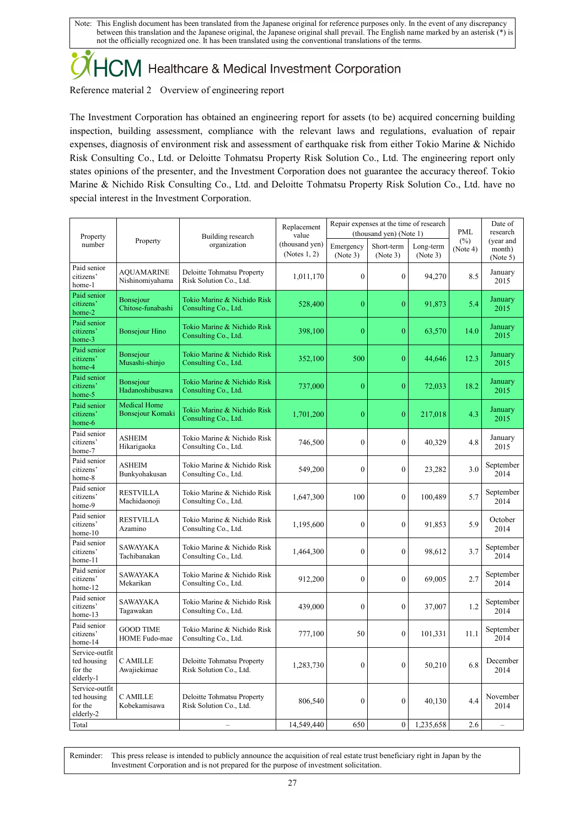# 

Reference material 2 Overview of engineering report

The Investment Corporation has obtained an engineering report for assets (to be) acquired concerning building inspection, building assessment, compliance with the relevant laws and regulations, evaluation of repair expenses, diagnosis of environment risk and assessment of earthquake risk from either Tokio Marine & Nichido Risk Consulting Co., Ltd. or Deloitte Tohmatsu Property Risk Solution Co., Ltd. The engineering report only states opinions of the presenter, and the Investment Corporation does not guarantee the accuracy thereof. Tokio Marine & Nichido Risk Consulting Co., Ltd. and Deloitte Tohmatsu Property Risk Solution Co., Ltd. have no special interest in the Investment Corporation.

| Property                                              |                                         | Building research                                     | Replacement<br>value           |                       | Repair expenses at the time of research<br>(thousand yen) (Note 1) | PML                   | Date of<br>research |                                 |
|-------------------------------------------------------|-----------------------------------------|-------------------------------------------------------|--------------------------------|-----------------------|--------------------------------------------------------------------|-----------------------|---------------------|---------------------------------|
| number                                                | Property                                | organization                                          | (thousand yen)<br>(Notes 1, 2) | Emergency<br>(Note 3) | Short-term<br>(Note 3)                                             | Long-term<br>(Note 3) | (%)<br>(Note 4)     | (year and<br>month)<br>(Note 5) |
| Paid senior<br>citizens'<br>home-1                    | <b>AQUAMARINE</b><br>Nishinomiyahama    | Deloitte Tohmatsu Property<br>Risk Solution Co., Ltd. | 1,011,170                      | $\mathbf{0}$          | $\mathbf{0}$                                                       | 94,270                | 8.5                 | January<br>2015                 |
| Paid senior<br>citizens'<br>home-2                    | <b>Bonsejour</b><br>Chitose-funabashi   | Tokio Marine & Nichido Risk<br>Consulting Co., Ltd.   | 528,400                        | $\mathbf{0}$          | $\mathbf{0}$                                                       | 91,873                | 5.4                 | January<br>2015                 |
| Paid senior<br>citizens'<br>home-3                    | <b>Bonsejour Hino</b>                   | Tokio Marine & Nichido Risk<br>Consulting Co., Ltd.   | 398,100                        | $\theta$              | $\boldsymbol{0}$                                                   | 63,570                | 14.0                | January<br>2015                 |
| Paid senior<br>citizens'<br>home-4                    | <b>Bonsejour</b><br>Musashi-shinjo      | Tokio Marine & Nichido Risk<br>Consulting Co., Ltd.   | 352,100                        | 500                   | $\overline{0}$                                                     | 44,646                | 12.3                | January<br>2015                 |
| Paid senior<br>citizens <sup>'</sup><br>home-5        | Bonsejour<br>Hadanoshibusawa            | Tokio Marine & Nichido Risk<br>Consulting Co., Ltd.   | 737,000                        | $\theta$              | $\boldsymbol{0}$                                                   | 72,033                | 18.2                | January<br>2015                 |
| Paid senior<br>citizens'<br>home-6                    | <b>Medical Home</b><br>Bonsejour Komaki | Tokio Marine & Nichido Risk<br>Consulting Co., Ltd.   | 1,701,200                      | $\overline{0}$        | $\mathbf{0}$                                                       | 217,018               | 4.3                 | January<br>2015                 |
| Paid senior<br>citizens'<br>home-7                    | ASHEIM<br>Hikarigaoka                   | Tokio Marine & Nichido Risk<br>Consulting Co., Ltd.   | 746,500                        | $\mathbf{0}$          | $\mathbf{0}$                                                       | 40,329                | 4.8                 | January<br>2015                 |
| Paid senior<br>citizens'<br>home-8                    | <b>ASHEIM</b><br>Bunkyohakusan          | Tokio Marine & Nichido Risk<br>Consulting Co., Ltd.   | 549,200                        | $\mathbf{0}$          | $\mathbf{0}$                                                       | 23,282                | 3.0                 | September<br>2014               |
| Paid senior<br>citizens'<br>home-9                    | <b>RESTVILLA</b><br>Machidaonoji        | Tokio Marine & Nichido Risk<br>Consulting Co., Ltd.   | 1,647,300                      | 100                   | $\boldsymbol{0}$                                                   | 100,489               | 5.7                 | September<br>2014               |
| Paid senior<br>citizens'<br>home-10                   | <b>RESTVILLA</b><br>Azamino             | Tokio Marine & Nichido Risk<br>Consulting Co., Ltd.   | 1,195,600                      | $\mathbf{0}$          | $\mathbf{0}$                                                       | 91,853                | 5.9                 | October<br>2014                 |
| Paid senior<br>citizens'<br>home-11                   | SAWAYAKA<br>Tachibanakan                | Tokio Marine & Nichido Risk<br>Consulting Co., Ltd.   | 1,464,300                      | $\boldsymbol{0}$      | $\boldsymbol{0}$                                                   | 98,612                | 3.7                 | September<br>2014               |
| Paid senior<br>citizens'<br>home-12                   | <b>SAWAYAKA</b><br>Mekarikan            | Tokio Marine & Nichido Risk<br>Consulting Co., Ltd.   | 912,200                        | $\mathbf{0}$          | $\mathbf{0}$                                                       | 69,005                | 2.7                 | September<br>2014               |
| Paid senior<br>citizens'<br>home-13                   | <b>SAWAYAKA</b><br>Tagawakan            | Tokio Marine & Nichido Risk<br>Consulting Co., Ltd.   | 439,000                        | $\theta$              | $\boldsymbol{0}$                                                   | 37,007                | 1.2                 | September<br>2014               |
| Paid senior<br>citizens'<br>home-14                   | <b>GOOD TIME</b><br>HOME Fudo-mae       | Tokio Marine & Nichido Risk<br>Consulting Co., Ltd.   | 777,100                        | 50                    | $\mathbf{0}$                                                       | 101,331               | 11.1                | September<br>2014               |
| Service-outfit<br>ted housing<br>for the<br>elderly-1 | <b>CAMILLE</b><br>Awajiekimae           | Deloitte Tohmatsu Property<br>Risk Solution Co., Ltd. | 1,283,730                      | $\mathbf{0}$          | $\mathbf{0}$                                                       | 50,210                | 6.8                 | December<br>2014                |
| Service-outfit<br>ted housing<br>for the<br>elderly-2 | C AMILLE<br>Kobekamisawa                | Deloitte Tohmatsu Property<br>Risk Solution Co., Ltd. | 806,540                        | $\mathbf{0}$          | $\boldsymbol{0}$                                                   | 40,130                | 4.4                 | November<br>2014                |
| Total                                                 |                                         | $\overline{\phantom{a}}$                              | 14.549.440                     | 650                   | $\mathbf{0}$                                                       | 1,235,658             | 2.6                 | $\overline{\phantom{a}}$        |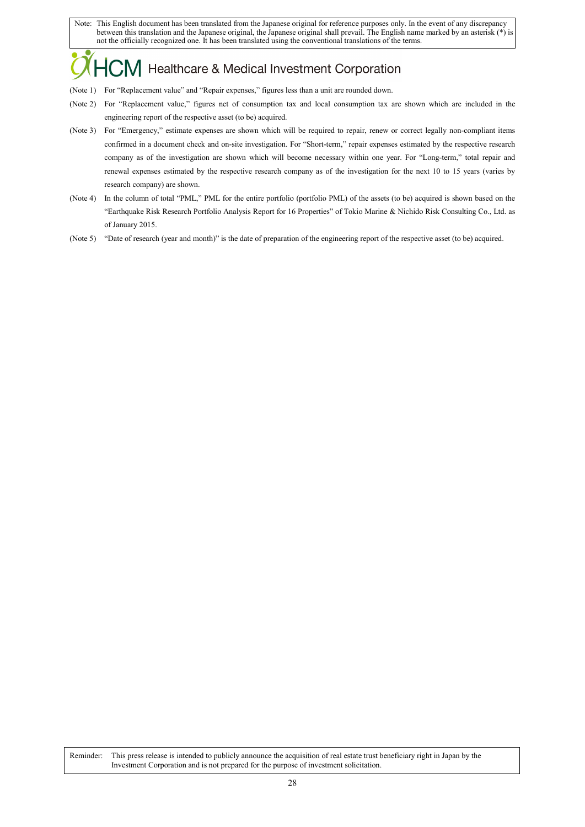## M Healthcare & Medical Investment Corporation

- (Note 1) For "Replacement value" and "Repair expenses," figures less than a unit are rounded down.
- (Note 2) For "Replacement value," figures net of consumption tax and local consumption tax are shown which are included in the engineering report of the respective asset (to be) acquired.
- (Note 3) For "Emergency," estimate expenses are shown which will be required to repair, renew or correct legally non-compliant items confirmed in a document check and on-site investigation. For "Short-term," repair expenses estimated by the respective research company as of the investigation are shown which will become necessary within one year. For "Long-term," total repair and renewal expenses estimated by the respective research company as of the investigation for the next 10 to 15 years (varies by research company) are shown.
- (Note 4) In the column of total "PML," PML for the entire portfolio (portfolio PML) of the assets (to be) acquired is shown based on the "Earthquake Risk Research Portfolio Analysis Report for 16 Properties" of Tokio Marine & Nichido Risk Consulting Co., Ltd. as of January 2015.
- (Note 5) "Date of research (year and month)" is the date of preparation of the engineering report of the respective asset (to be) acquired.